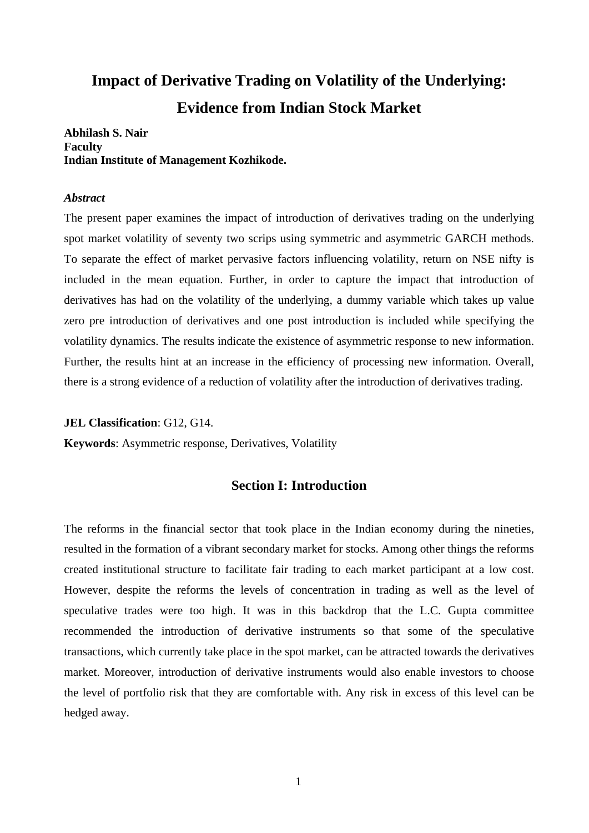# **Impact of Derivative Trading on Volatility of the Underlying: Evidence from Indian Stock Market**

**Abhilash S. Nair Faculty Indian Institute of Management Kozhikode.** 

#### *Abstract*

The present paper examines the impact of introduction of derivatives trading on the underlying spot market volatility of seventy two scrips using symmetric and asymmetric GARCH methods. To separate the effect of market pervasive factors influencing volatility, return on NSE nifty is included in the mean equation. Further, in order to capture the impact that introduction of derivatives has had on the volatility of the underlying, a dummy variable which takes up value zero pre introduction of derivatives and one post introduction is included while specifying the volatility dynamics. The results indicate the existence of asymmetric response to new information. Further, the results hint at an increase in the efficiency of processing new information. Overall, there is a strong evidence of a reduction of volatility after the introduction of derivatives trading.

**JEL Classification**: G12, G14.

**Keywords**: Asymmetric response, Derivatives, Volatility

## **Section I: Introduction**

The reforms in the financial sector that took place in the Indian economy during the nineties, resulted in the formation of a vibrant secondary market for stocks. Among other things the reforms created institutional structure to facilitate fair trading to each market participant at a low cost. However, despite the reforms the levels of concentration in trading as well as the level of speculative trades were too high. It was in this backdrop that the L.C. Gupta committee recommended the introduction of derivative instruments so that some of the speculative transactions, which currently take place in the spot market, can be attracted towards the derivatives market. Moreover, introduction of derivative instruments would also enable investors to choose the level of portfolio risk that they are comfortable with. Any risk in excess of this level can be hedged away.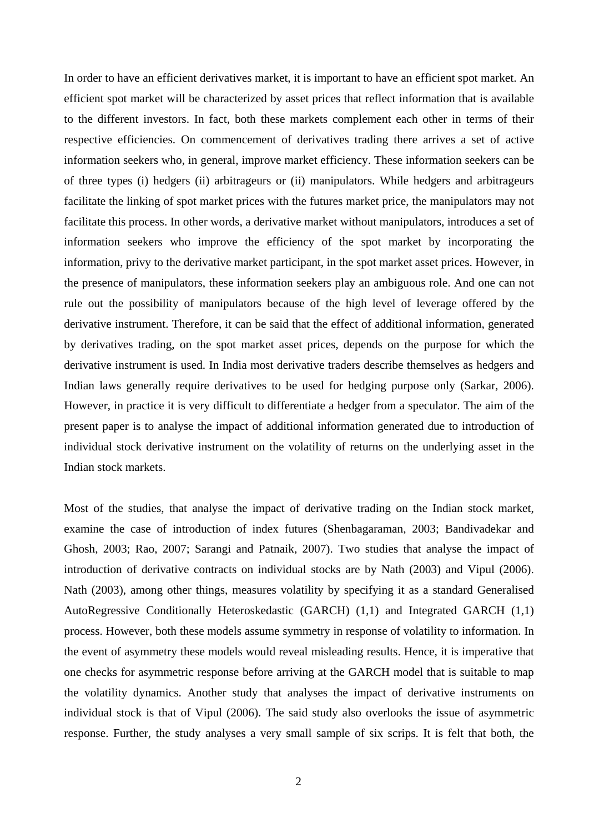In order to have an efficient derivatives market, it is important to have an efficient spot market. An efficient spot market will be characterized by asset prices that reflect information that is available to the different investors. In fact, both these markets complement each other in terms of their respective efficiencies. On commencement of derivatives trading there arrives a set of active information seekers who, in general, improve market efficiency. These information seekers can be of three types (i) hedgers (ii) arbitrageurs or (ii) manipulators. While hedgers and arbitrageurs facilitate the linking of spot market prices with the futures market price, the manipulators may not facilitate this process. In other words, a derivative market without manipulators, introduces a set of information seekers who improve the efficiency of the spot market by incorporating the information, privy to the derivative market participant, in the spot market asset prices. However, in the presence of manipulators, these information seekers play an ambiguous role. And one can not rule out the possibility of manipulators because of the high level of leverage offered by the derivative instrument. Therefore, it can be said that the effect of additional information, generated by derivatives trading, on the spot market asset prices, depends on the purpose for which the derivative instrument is used. In India most derivative traders describe themselves as hedgers and Indian laws generally require derivatives to be used for hedging purpose only (Sarkar, 2006). However, in practice it is very difficult to differentiate a hedger from a speculator. The aim of the present paper is to analyse the impact of additional information generated due to introduction of individual stock derivative instrument on the volatility of returns on the underlying asset in the Indian stock markets.

Most of the studies, that analyse the impact of derivative trading on the Indian stock market, examine the case of introduction of index futures (Shenbagaraman, 2003; Bandivadekar and Ghosh, 2003; Rao, 2007; Sarangi and Patnaik, 2007). Two studies that analyse the impact of introduction of derivative contracts on individual stocks are by Nath (2003) and Vipul (2006). Nath (2003), among other things, measures volatility by specifying it as a standard Generalised AutoRegressive Conditionally Heteroskedastic (GARCH) (1,1) and Integrated GARCH (1,1) process. However, both these models assume symmetry in response of volatility to information. In the event of asymmetry these models would reveal misleading results. Hence, it is imperative that one checks for asymmetric response before arriving at the GARCH model that is suitable to map the volatility dynamics. Another study that analyses the impact of derivative instruments on individual stock is that of Vipul (2006). The said study also overlooks the issue of asymmetric response. Further, the study analyses a very small sample of six scrips. It is felt that both, the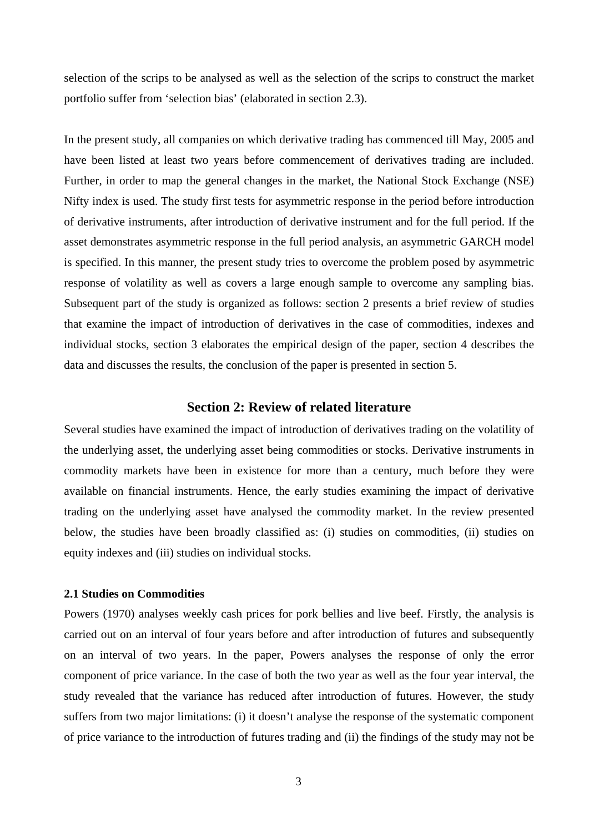selection of the scrips to be analysed as well as the selection of the scrips to construct the market portfolio suffer from 'selection bias' (elaborated in section 2.3).

In the present study, all companies on which derivative trading has commenced till May, 2005 and have been listed at least two years before commencement of derivatives trading are included. Further, in order to map the general changes in the market, the National Stock Exchange (NSE) Nifty index is used. The study first tests for asymmetric response in the period before introduction of derivative instruments, after introduction of derivative instrument and for the full period. If the asset demonstrates asymmetric response in the full period analysis, an asymmetric GARCH model is specified. In this manner, the present study tries to overcome the problem posed by asymmetric response of volatility as well as covers a large enough sample to overcome any sampling bias. Subsequent part of the study is organized as follows: section 2 presents a brief review of studies that examine the impact of introduction of derivatives in the case of commodities, indexes and individual stocks, section 3 elaborates the empirical design of the paper, section 4 describes the data and discusses the results, the conclusion of the paper is presented in section 5.

## **Section 2: Review of related literature**

Several studies have examined the impact of introduction of derivatives trading on the volatility of the underlying asset, the underlying asset being commodities or stocks. Derivative instruments in commodity markets have been in existence for more than a century, much before they were available on financial instruments. Hence, the early studies examining the impact of derivative trading on the underlying asset have analysed the commodity market. In the review presented below, the studies have been broadly classified as: (i) studies on commodities, (ii) studies on equity indexes and (iii) studies on individual stocks.

#### **2.1 Studies on Commodities**

Powers (1970) analyses weekly cash prices for pork bellies and live beef. Firstly, the analysis is carried out on an interval of four years before and after introduction of futures and subsequently on an interval of two years. In the paper, Powers analyses the response of only the error component of price variance. In the case of both the two year as well as the four year interval, the study revealed that the variance has reduced after introduction of futures. However, the study suffers from two major limitations: (i) it doesn't analyse the response of the systematic component of price variance to the introduction of futures trading and (ii) the findings of the study may not be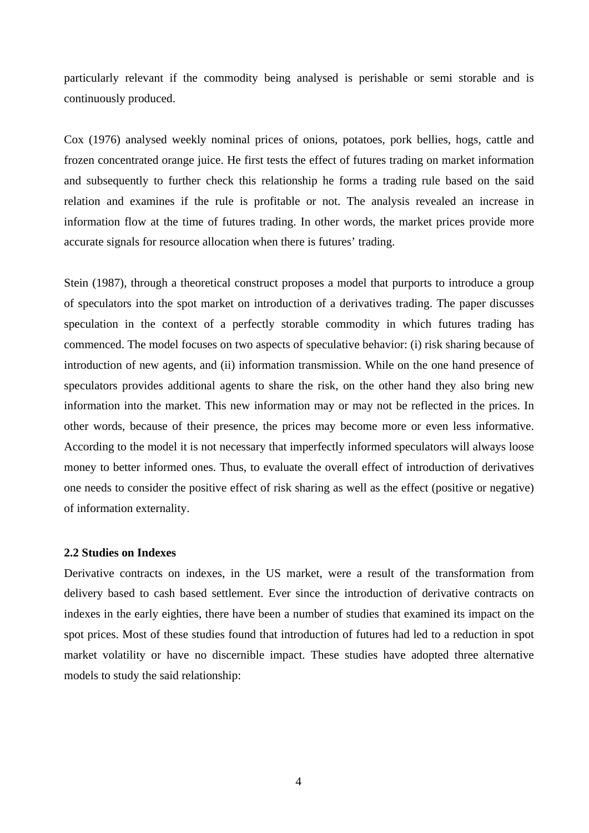particularly relevant if the commodity being analysed is perishable or semi storable and is continuously produced.

Cox (1976) analysed weekly nominal prices of onions, potatoes, pork bellies, hogs, cattle and frozen concentrated orange juice. He first tests the effect of futures trading on market information and subsequently to further check this relationship he forms a trading rule based on the said relation and examines if the rule is profitable or not. The analysis revealed an increase in information flow at the time of futures trading. In other words, the market prices provide more accurate signals for resource allocation when there is futures' trading.

Stein (1987), through a theoretical construct proposes a model that purports to introduce a group of speculators into the spot market on introduction of a derivatives trading. The paper discusses speculation in the context of a perfectly storable commodity in which futures trading has commenced. The model focuses on two aspects of speculative behavior: (i) risk sharing because of introduction of new agents, and (ii) information transmission. While on the one hand presence of speculators provides additional agents to share the risk, on the other hand they also bring new information into the market. This new information may or may not be reflected in the prices. In other words, because of their presence, the prices may become more or even less informative. According to the model it is not necessary that imperfectly informed speculators will always loose money to better informed ones. Thus, to evaluate the overall effect of introduction of derivatives one needs to consider the positive effect of risk sharing as well as the effect (positive or negative) of information externality.

#### **2.2 Studies on Indexes**

Derivative contracts on indexes, in the US market, were a result of the transformation from delivery based to cash based settlement. Ever since the introduction of derivative contracts on indexes in the early eighties, there have been a number of studies that examined its impact on the spot prices. Most of these studies found that introduction of futures had led to a reduction in spot market volatility or have no discernible impact. These studies have adopted three alternative models to study the said relationship: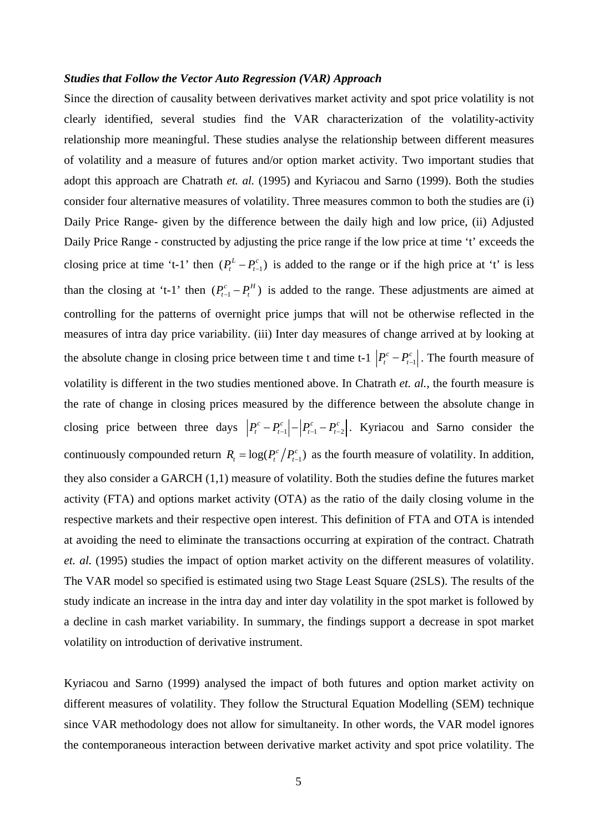#### *Studies that Follow the Vector Auto Regression (VAR) Approach*

Since the direction of causality between derivatives market activity and spot price volatility is not clearly identified, several studies find the VAR characterization of the volatility-activity relationship more meaningful. These studies analyse the relationship between different measures of volatility and a measure of futures and/or option market activity. Two important studies that adopt this approach are Chatrath *et. al.* (1995) and Kyriacou and Sarno (1999). Both the studies consider four alternative measures of volatility. Three measures common to both the studies are (i) Daily Price Range- given by the difference between the daily high and low price, (ii) Adjusted Daily Price Range - constructed by adjusting the price range if the low price at time 't' exceeds the closing price at time 't-1' then  $(P_t^L - P_{t-1}^c)$  is added to the range or if the high price at 't' is less than the closing at 't-1' then  $(P_{t-1}^c - P_t^H)$  is added to the range. These adjustments are aimed at controlling for the patterns of overnight price jumps that will not be otherwise reflected in the measures of intra day price variability. (iii) Inter day measures of change arrived at by looking at the absolute change in closing price between time t and time t-1  $\left| P_t^c - P_{t-1}^c \right|$ . The fourth measure of volatility is different in the two studies mentioned above. In Chatrath *et. al.*, the fourth measure is the rate of change in closing prices measured by the difference between the absolute change in closing price between three days  $|P_t^c - P_{t-1}^c| - |P_{t-1}^c - P_{t-2}^c|$ . Kyriacou and Sarno consider the continuously compounded return  $R_t = \log(P_t^c / P_{t-1}^c)$  as the fourth measure of volatility. In addition, they also consider a GARCH (1,1) measure of volatility. Both the studies define the futures market activity (FTA) and options market activity (OTA) as the ratio of the daily closing volume in the respective markets and their respective open interest. This definition of FTA and OTA is intended at avoiding the need to eliminate the transactions occurring at expiration of the contract. Chatrath *et. al.* (1995) studies the impact of option market activity on the different measures of volatility. The VAR model so specified is estimated using two Stage Least Square (2SLS). The results of the study indicate an increase in the intra day and inter day volatility in the spot market is followed by a decline in cash market variability. In summary, the findings support a decrease in spot market volatility on introduction of derivative instrument.

Kyriacou and Sarno (1999) analysed the impact of both futures and option market activity on different measures of volatility. They follow the Structural Equation Modelling (SEM) technique since VAR methodology does not allow for simultaneity. In other words, the VAR model ignores the contemporaneous interaction between derivative market activity and spot price volatility. The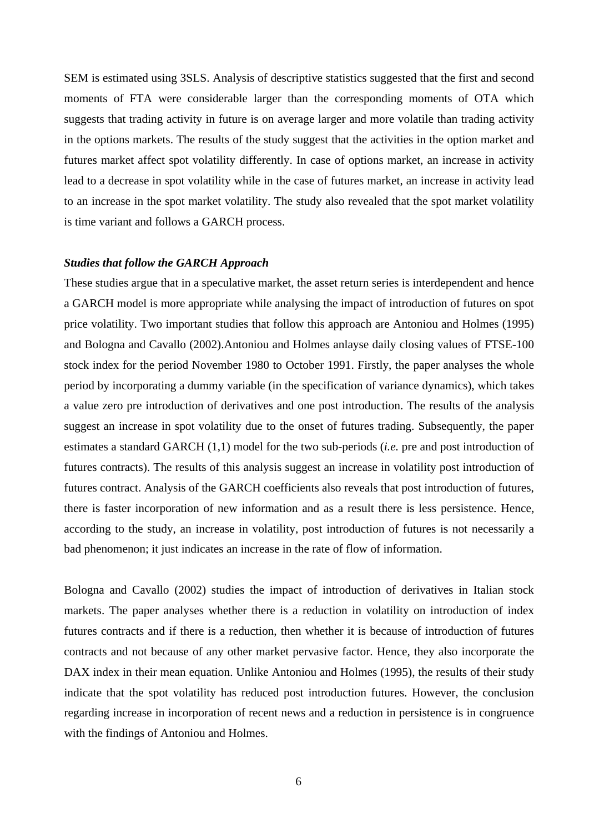SEM is estimated using 3SLS. Analysis of descriptive statistics suggested that the first and second moments of FTA were considerable larger than the corresponding moments of OTA which suggests that trading activity in future is on average larger and more volatile than trading activity in the options markets. The results of the study suggest that the activities in the option market and futures market affect spot volatility differently. In case of options market, an increase in activity lead to a decrease in spot volatility while in the case of futures market, an increase in activity lead to an increase in the spot market volatility. The study also revealed that the spot market volatility is time variant and follows a GARCH process.

#### *Studies that follow the GARCH Approach*

These studies argue that in a speculative market, the asset return series is interdependent and hence a GARCH model is more appropriate while analysing the impact of introduction of futures on spot price volatility. Two important studies that follow this approach are Antoniou and Holmes (1995) and Bologna and Cavallo (2002).Antoniou and Holmes anlayse daily closing values of FTSE-100 stock index for the period November 1980 to October 1991. Firstly, the paper analyses the whole period by incorporating a dummy variable (in the specification of variance dynamics), which takes a value zero pre introduction of derivatives and one post introduction. The results of the analysis suggest an increase in spot volatility due to the onset of futures trading. Subsequently, the paper estimates a standard GARCH (1,1) model for the two sub-periods (*i.e.* pre and post introduction of futures contracts). The results of this analysis suggest an increase in volatility post introduction of futures contract. Analysis of the GARCH coefficients also reveals that post introduction of futures, there is faster incorporation of new information and as a result there is less persistence. Hence, according to the study, an increase in volatility, post introduction of futures is not necessarily a bad phenomenon; it just indicates an increase in the rate of flow of information.

Bologna and Cavallo (2002) studies the impact of introduction of derivatives in Italian stock markets. The paper analyses whether there is a reduction in volatility on introduction of index futures contracts and if there is a reduction, then whether it is because of introduction of futures contracts and not because of any other market pervasive factor. Hence, they also incorporate the DAX index in their mean equation. Unlike Antoniou and Holmes (1995), the results of their study indicate that the spot volatility has reduced post introduction futures. However, the conclusion regarding increase in incorporation of recent news and a reduction in persistence is in congruence with the findings of Antoniou and Holmes.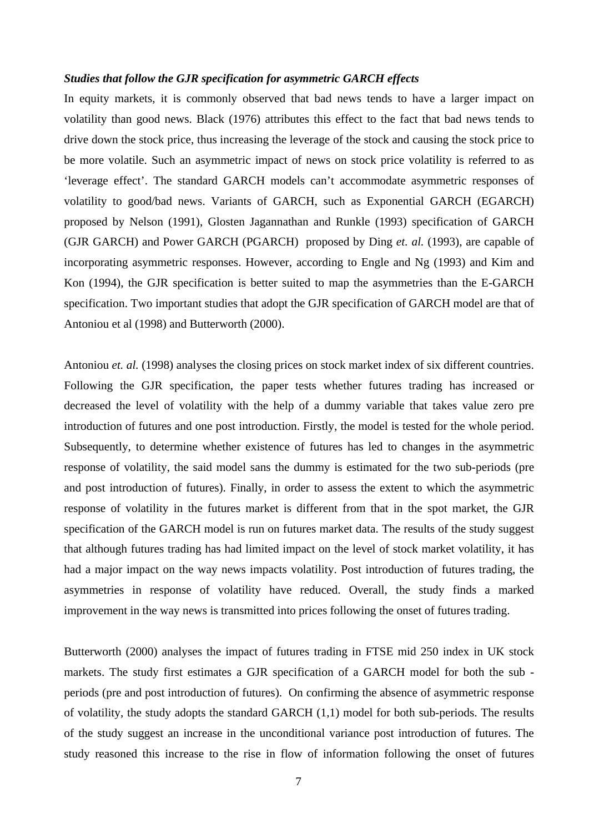#### *Studies that follow the GJR specification for asymmetric GARCH effects*

In equity markets, it is commonly observed that bad news tends to have a larger impact on volatility than good news. Black (1976) attributes this effect to the fact that bad news tends to drive down the stock price, thus increasing the leverage of the stock and causing the stock price to be more volatile. Such an asymmetric impact of news on stock price volatility is referred to as 'leverage effect'. The standard GARCH models can't accommodate asymmetric responses of volatility to good/bad news. Variants of GARCH, such as Exponential GARCH (EGARCH) proposed by Nelson (1991), Glosten Jagannathan and Runkle (1993) specification of GARCH (GJR GARCH) and Power GARCH (PGARCH) proposed by Ding *et. al.* (1993), are capable of incorporating asymmetric responses. However, according to Engle and Ng (1993) and Kim and Kon (1994), the GJR specification is better suited to map the asymmetries than the E-GARCH specification. Two important studies that adopt the GJR specification of GARCH model are that of Antoniou et al (1998) and Butterworth (2000).

Antoniou *et. al.* (1998) analyses the closing prices on stock market index of six different countries. Following the GJR specification, the paper tests whether futures trading has increased or decreased the level of volatility with the help of a dummy variable that takes value zero pre introduction of futures and one post introduction. Firstly, the model is tested for the whole period. Subsequently, to determine whether existence of futures has led to changes in the asymmetric response of volatility, the said model sans the dummy is estimated for the two sub-periods (pre and post introduction of futures). Finally, in order to assess the extent to which the asymmetric response of volatility in the futures market is different from that in the spot market, the GJR specification of the GARCH model is run on futures market data. The results of the study suggest that although futures trading has had limited impact on the level of stock market volatility, it has had a major impact on the way news impacts volatility. Post introduction of futures trading, the asymmetries in response of volatility have reduced. Overall, the study finds a marked improvement in the way news is transmitted into prices following the onset of futures trading.

Butterworth (2000) analyses the impact of futures trading in FTSE mid 250 index in UK stock markets. The study first estimates a GJR specification of a GARCH model for both the sub periods (pre and post introduction of futures). On confirming the absence of asymmetric response of volatility, the study adopts the standard GARCH (1,1) model for both sub-periods. The results of the study suggest an increase in the unconditional variance post introduction of futures. The study reasoned this increase to the rise in flow of information following the onset of futures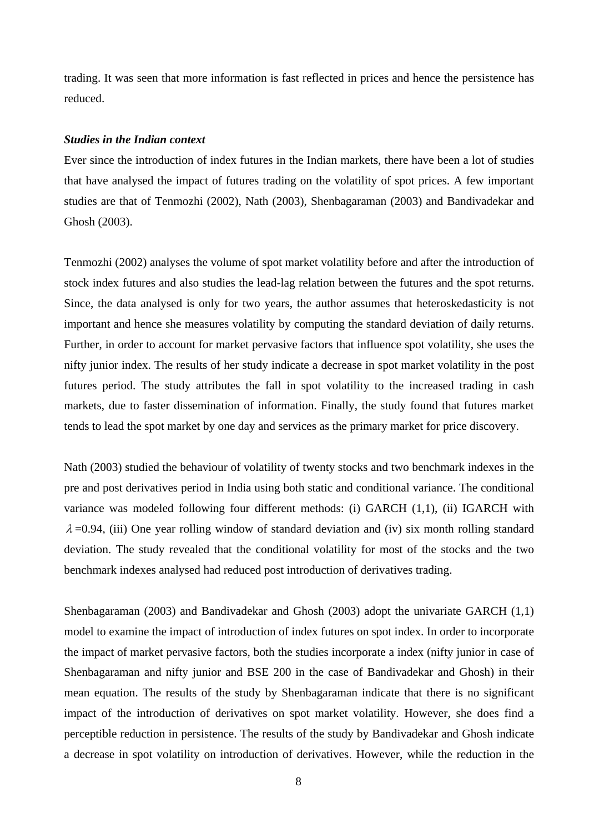trading. It was seen that more information is fast reflected in prices and hence the persistence has reduced.

### *Studies in the Indian context*

Ever since the introduction of index futures in the Indian markets, there have been a lot of studies that have analysed the impact of futures trading on the volatility of spot prices. A few important studies are that of Tenmozhi (2002), Nath (2003), Shenbagaraman (2003) and Bandivadekar and Ghosh (2003).

Tenmozhi (2002) analyses the volume of spot market volatility before and after the introduction of stock index futures and also studies the lead-lag relation between the futures and the spot returns. Since, the data analysed is only for two years, the author assumes that heteroskedasticity is not important and hence she measures volatility by computing the standard deviation of daily returns. Further, in order to account for market pervasive factors that influence spot volatility, she uses the nifty junior index. The results of her study indicate a decrease in spot market volatility in the post futures period. The study attributes the fall in spot volatility to the increased trading in cash markets, due to faster dissemination of information. Finally, the study found that futures market tends to lead the spot market by one day and services as the primary market for price discovery.

Nath (2003) studied the behaviour of volatility of twenty stocks and two benchmark indexes in the pre and post derivatives period in India using both static and conditional variance. The conditional variance was modeled following four different methods: (i) GARCH (1,1), (ii) IGARCH with  $\lambda$  =0.94, (iii) One year rolling window of standard deviation and (iv) six month rolling standard deviation. The study revealed that the conditional volatility for most of the stocks and the two benchmark indexes analysed had reduced post introduction of derivatives trading.

Shenbagaraman (2003) and Bandivadekar and Ghosh (2003) adopt the univariate GARCH (1,1) model to examine the impact of introduction of index futures on spot index. In order to incorporate the impact of market pervasive factors, both the studies incorporate a index (nifty junior in case of Shenbagaraman and nifty junior and BSE 200 in the case of Bandivadekar and Ghosh) in their mean equation. The results of the study by Shenbagaraman indicate that there is no significant impact of the introduction of derivatives on spot market volatility. However, she does find a perceptible reduction in persistence. The results of the study by Bandivadekar and Ghosh indicate a decrease in spot volatility on introduction of derivatives. However, while the reduction in the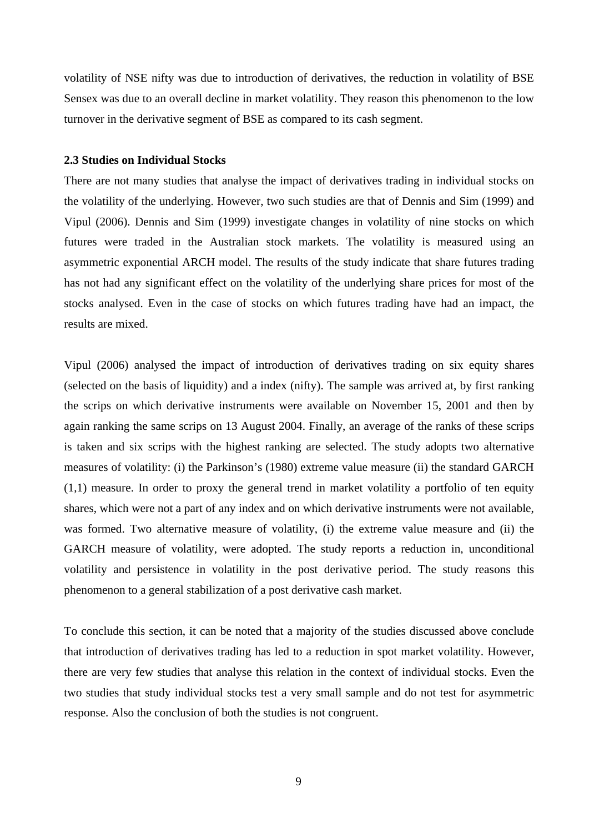volatility of NSE nifty was due to introduction of derivatives, the reduction in volatility of BSE Sensex was due to an overall decline in market volatility. They reason this phenomenon to the low turnover in the derivative segment of BSE as compared to its cash segment.

#### **2.3 Studies on Individual Stocks**

There are not many studies that analyse the impact of derivatives trading in individual stocks on the volatility of the underlying. However, two such studies are that of Dennis and Sim (1999) and Vipul (2006). Dennis and Sim (1999) investigate changes in volatility of nine stocks on which futures were traded in the Australian stock markets. The volatility is measured using an asymmetric exponential ARCH model. The results of the study indicate that share futures trading has not had any significant effect on the volatility of the underlying share prices for most of the stocks analysed. Even in the case of stocks on which futures trading have had an impact, the results are mixed.

Vipul (2006) analysed the impact of introduction of derivatives trading on six equity shares (selected on the basis of liquidity) and a index (nifty). The sample was arrived at, by first ranking the scrips on which derivative instruments were available on November 15, 2001 and then by again ranking the same scrips on 13 August 2004. Finally, an average of the ranks of these scrips is taken and six scrips with the highest ranking are selected. The study adopts two alternative measures of volatility: (i) the Parkinson's (1980) extreme value measure (ii) the standard GARCH (1,1) measure. In order to proxy the general trend in market volatility a portfolio of ten equity shares, which were not a part of any index and on which derivative instruments were not available, was formed. Two alternative measure of volatility, (i) the extreme value measure and (ii) the GARCH measure of volatility, were adopted. The study reports a reduction in, unconditional volatility and persistence in volatility in the post derivative period. The study reasons this phenomenon to a general stabilization of a post derivative cash market.

To conclude this section, it can be noted that a majority of the studies discussed above conclude that introduction of derivatives trading has led to a reduction in spot market volatility. However, there are very few studies that analyse this relation in the context of individual stocks. Even the two studies that study individual stocks test a very small sample and do not test for asymmetric response. Also the conclusion of both the studies is not congruent.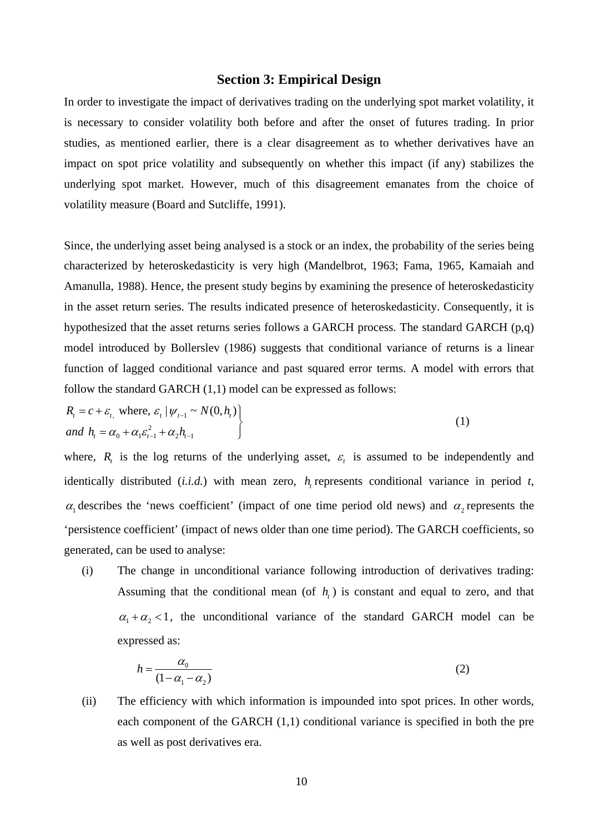#### **Section 3: Empirical Design**

In order to investigate the impact of derivatives trading on the underlying spot market volatility, it is necessary to consider volatility both before and after the onset of futures trading. In prior studies, as mentioned earlier, there is a clear disagreement as to whether derivatives have an impact on spot price volatility and subsequently on whether this impact (if any) stabilizes the underlying spot market. However, much of this disagreement emanates from the choice of volatility measure (Board and Sutcliffe, 1991).

Since, the underlying asset being analysed is a stock or an index, the probability of the series being characterized by heteroskedasticity is very high (Mandelbrot, 1963; Fama, 1965, Kamaiah and Amanulla, 1988). Hence, the present study begins by examining the presence of heteroskedasticity in the asset return series. The results indicated presence of heteroskedasticity. Consequently, it is hypothesized that the asset returns series follows a GARCH process. The standard GARCH (p,q) model introduced by Bollerslev (1986) suggests that conditional variance of returns is a linear function of lagged conditional variance and past squared error terms. A model with errors that follow the standard GARCH (1,1) model can be expressed as follows:

$$
R_{i} = c + \varepsilon_{t_{i}} \text{ where, } \varepsilon_{t} | \psi_{t-1} \sim N(0, h_{t})
$$
  
and 
$$
h_{t} = \alpha_{0} + \alpha_{1} \varepsilon_{t-1}^{2} + \alpha_{2} h_{t-1}
$$
 (1)

where,  $R_{t}$  is the log returns of the underlying asset,  $\varepsilon_{t}$  is assumed to be independently and identically distributed  $(i.i.d.)$  with mean zero,  $h$  represents conditional variance in period  $t$ ,  $\alpha_1$  describes the 'news coefficient' (impact of one time period old news) and  $\alpha_2$  represents the 'persistence coefficient' (impact of news older than one time period). The GARCH coefficients, so generated, can be used to analyse:

(i) The change in unconditional variance following introduction of derivatives trading: Assuming that the conditional mean (of  $h<sub>i</sub>$ ) is constant and equal to zero, and that  $\alpha_1 + \alpha_2 < 1$ , the unconditional variance of the standard GARCH model can be expressed as:

$$
h = \frac{\alpha_0}{(1 - \alpha_1 - \alpha_2)}\tag{2}
$$

(ii) The efficiency with which information is impounded into spot prices. In other words, each component of the GARCH (1,1) conditional variance is specified in both the pre as well as post derivatives era.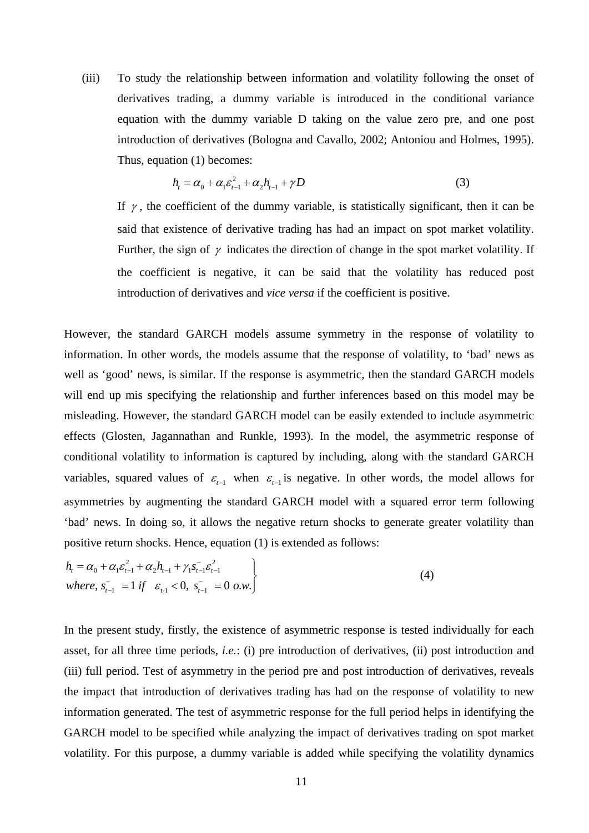(iii) To study the relationship between information and volatility following the onset of derivatives trading, a dummy variable is introduced in the conditional variance equation with the dummy variable D taking on the value zero pre, and one post introduction of derivatives (Bologna and Cavallo, 2002; Antoniou and Holmes, 1995). Thus, equation (1) becomes:

$$
h_{i} = \alpha_{0} + \alpha_{1} \varepsilon_{t-1}^{2} + \alpha_{2} h_{t-1} + \gamma D
$$
\n(3)

If  $\gamma$ , the coefficient of the dummy variable, is statistically significant, then it can be said that existence of derivative trading has had an impact on spot market volatility. Further, the sign of  $\gamma$  indicates the direction of change in the spot market volatility. If the coefficient is negative, it can be said that the volatility has reduced post introduction of derivatives and *vice versa* if the coefficient is positive.

However, the standard GARCH models assume symmetry in the response of volatility to information. In other words, the models assume that the response of volatility, to 'bad' news as well as 'good' news, is similar. If the response is asymmetric, then the standard GARCH models will end up mis specifying the relationship and further inferences based on this model may be misleading. However, the standard GARCH model can be easily extended to include asymmetric effects (Glosten, Jagannathan and Runkle, 1993). In the model, the asymmetric response of conditional volatility to information is captured by including, along with the standard GARCH variables, squared values of  $\varepsilon_{t-1}$  when  $\varepsilon_{t-1}$  is negative. In other words, the model allows for asymmetries by augmenting the standard GARCH model with a squared error term following 'bad' news. In doing so, it allows the negative return shocks to generate greater volatility than positive return shocks. Hence, equation (1) is extended as follows:

$$
h_{t} = \alpha_{0} + \alpha_{1} \varepsilon_{t-1}^{2} + \alpha_{2} h_{t-1} + \gamma_{1} \varepsilon_{t-1}^{2} \varepsilon_{t-1}^{2}
$$
  
where,  $\varepsilon_{t-1}^{-} = 1$  if  $\varepsilon_{t-1} < 0$ ,  $\varepsilon_{t-1}^{-} = 0$  o.w. (4)

In the present study, firstly, the existence of asymmetric response is tested individually for each asset, for all three time periods, *i.e.*: (i) pre introduction of derivatives, (ii) post introduction and (iii) full period. Test of asymmetry in the period pre and post introduction of derivatives, reveals the impact that introduction of derivatives trading has had on the response of volatility to new information generated. The test of asymmetric response for the full period helps in identifying the GARCH model to be specified while analyzing the impact of derivatives trading on spot market volatility. For this purpose, a dummy variable is added while specifying the volatility dynamics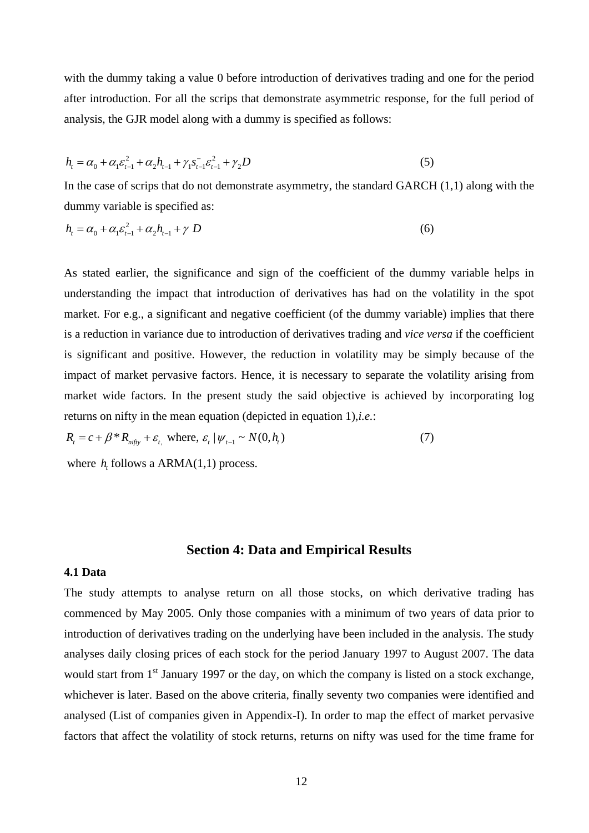with the dummy taking a value 0 before introduction of derivatives trading and one for the period after introduction. For all the scrips that demonstrate asymmetric response, for the full period of analysis, the GJR model along with a dummy is specified as follows:

$$
h_{t} = \alpha_{0} + \alpha_{1} \varepsilon_{t-1}^{2} + \alpha_{2} h_{t-1} + \gamma_{1} \varepsilon_{t-1}^{2} \varepsilon_{t-1}^{2} + \gamma_{2} D \tag{5}
$$

In the case of scrips that do not demonstrate asymmetry, the standard GARCH (1,1) along with the dummy variable is specified as:

$$
h_{t} = \alpha_{0} + \alpha_{1} \varepsilon_{t-1}^{2} + \alpha_{2} h_{t-1} + \gamma D
$$
\n(6)

As stated earlier, the significance and sign of the coefficient of the dummy variable helps in understanding the impact that introduction of derivatives has had on the volatility in the spot market. For e.g., a significant and negative coefficient (of the dummy variable) implies that there is a reduction in variance due to introduction of derivatives trading and *vice versa* if the coefficient is significant and positive. However, the reduction in volatility may be simply because of the impact of market pervasive factors. Hence, it is necessary to separate the volatility arising from market wide factors. In the present study the said objective is achieved by incorporating log returns on nifty in the mean equation (depicted in equation 1),*i.e.*:

$$
R_t = c + \beta^* R_{\text{nify}} + \varepsilon_t, \text{ where, } \varepsilon_t | \psi_{t-1} \sim N(0, h_t)
$$
 (7)

where  $h$  follows a ARMA $(1,1)$  process.

#### **Section 4: Data and Empirical Results**

#### **4.1 Data**

The study attempts to analyse return on all those stocks, on which derivative trading has commenced by May 2005. Only those companies with a minimum of two years of data prior to introduction of derivatives trading on the underlying have been included in the analysis. The study analyses daily closing prices of each stock for the period January 1997 to August 2007. The data would start from  $1<sup>st</sup>$  January 1997 or the day, on which the company is listed on a stock exchange, whichever is later. Based on the above criteria, finally seventy two companies were identified and analysed (List of companies given in Appendix-I). In order to map the effect of market pervasive factors that affect the volatility of stock returns, returns on nifty was used for the time frame for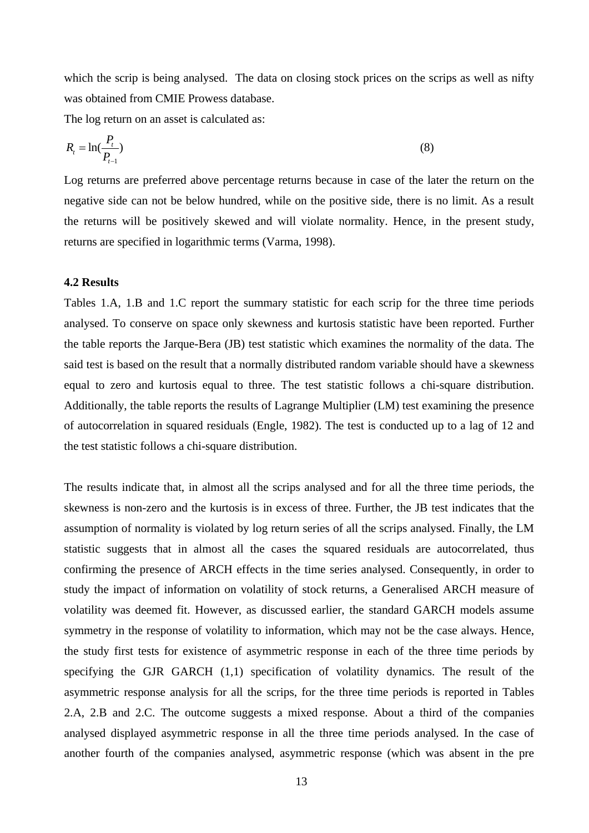which the scrip is being analysed. The data on closing stock prices on the scrips as well as nifty was obtained from CMIE Prowess database.

The log return on an asset is calculated as:

$$
R_t = \ln(\frac{P_t}{P_{t-1}}) \tag{8}
$$

Log returns are preferred above percentage returns because in case of the later the return on the negative side can not be below hundred, while on the positive side, there is no limit. As a result the returns will be positively skewed and will violate normality. Hence, in the present study, returns are specified in logarithmic terms (Varma, 1998).

### **4.2 Results**

Tables 1.A, 1.B and 1.C report the summary statistic for each scrip for the three time periods analysed. To conserve on space only skewness and kurtosis statistic have been reported. Further the table reports the Jarque-Bera (JB) test statistic which examines the normality of the data. The said test is based on the result that a normally distributed random variable should have a skewness equal to zero and kurtosis equal to three. The test statistic follows a chi-square distribution. Additionally, the table reports the results of Lagrange Multiplier (LM) test examining the presence of autocorrelation in squared residuals (Engle, 1982). The test is conducted up to a lag of 12 and the test statistic follows a chi-square distribution.

The results indicate that, in almost all the scrips analysed and for all the three time periods, the skewness is non-zero and the kurtosis is in excess of three. Further, the JB test indicates that the assumption of normality is violated by log return series of all the scrips analysed. Finally, the LM statistic suggests that in almost all the cases the squared residuals are autocorrelated, thus confirming the presence of ARCH effects in the time series analysed. Consequently, in order to study the impact of information on volatility of stock returns, a Generalised ARCH measure of volatility was deemed fit. However, as discussed earlier, the standard GARCH models assume symmetry in the response of volatility to information, which may not be the case always. Hence, the study first tests for existence of asymmetric response in each of the three time periods by specifying the GJR GARCH (1,1) specification of volatility dynamics. The result of the asymmetric response analysis for all the scrips, for the three time periods is reported in Tables 2.A, 2.B and 2.C. The outcome suggests a mixed response. About a third of the companies analysed displayed asymmetric response in all the three time periods analysed. In the case of another fourth of the companies analysed, asymmetric response (which was absent in the pre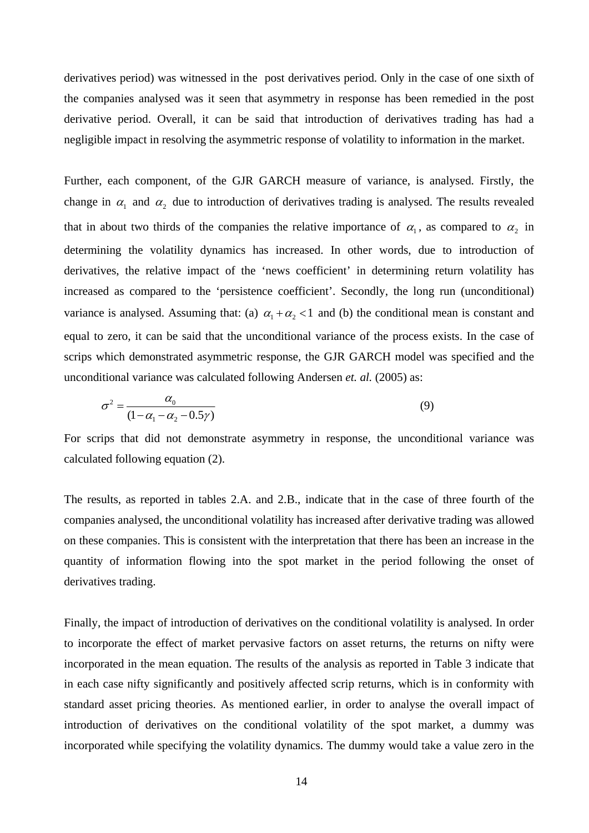derivatives period) was witnessed in the post derivatives period. Only in the case of one sixth of the companies analysed was it seen that asymmetry in response has been remedied in the post derivative period. Overall, it can be said that introduction of derivatives trading has had a negligible impact in resolving the asymmetric response of volatility to information in the market.

Further, each component, of the GJR GARCH measure of variance, is analysed. Firstly, the change in  $\alpha_1$  and  $\alpha_2$  due to introduction of derivatives trading is analysed. The results revealed that in about two thirds of the companies the relative importance of  $\alpha_1$ , as compared to  $\alpha_2$  in determining the volatility dynamics has increased. In other words, due to introduction of derivatives, the relative impact of the 'news coefficient' in determining return volatility has increased as compared to the 'persistence coefficient'. Secondly, the long run (unconditional) variance is analysed. Assuming that: (a)  $\alpha_1 + \alpha_2 < 1$  and (b) the conditional mean is constant and equal to zero, it can be said that the unconditional variance of the process exists. In the case of scrips which demonstrated asymmetric response, the GJR GARCH model was specified and the unconditional variance was calculated following Andersen *et. al.* (2005) as:

$$
\sigma^2 = \frac{\alpha_0}{(1 - \alpha_1 - \alpha_2 - 0.5\gamma)}
$$
\n(9)

For scrips that did not demonstrate asymmetry in response, the unconditional variance was calculated following equation (2).

The results, as reported in tables 2.A. and 2.B., indicate that in the case of three fourth of the companies analysed, the unconditional volatility has increased after derivative trading was allowed on these companies. This is consistent with the interpretation that there has been an increase in the quantity of information flowing into the spot market in the period following the onset of derivatives trading.

Finally, the impact of introduction of derivatives on the conditional volatility is analysed. In order to incorporate the effect of market pervasive factors on asset returns, the returns on nifty were incorporated in the mean equation. The results of the analysis as reported in Table 3 indicate that in each case nifty significantly and positively affected scrip returns, which is in conformity with standard asset pricing theories. As mentioned earlier, in order to analyse the overall impact of introduction of derivatives on the conditional volatility of the spot market, a dummy was incorporated while specifying the volatility dynamics. The dummy would take a value zero in the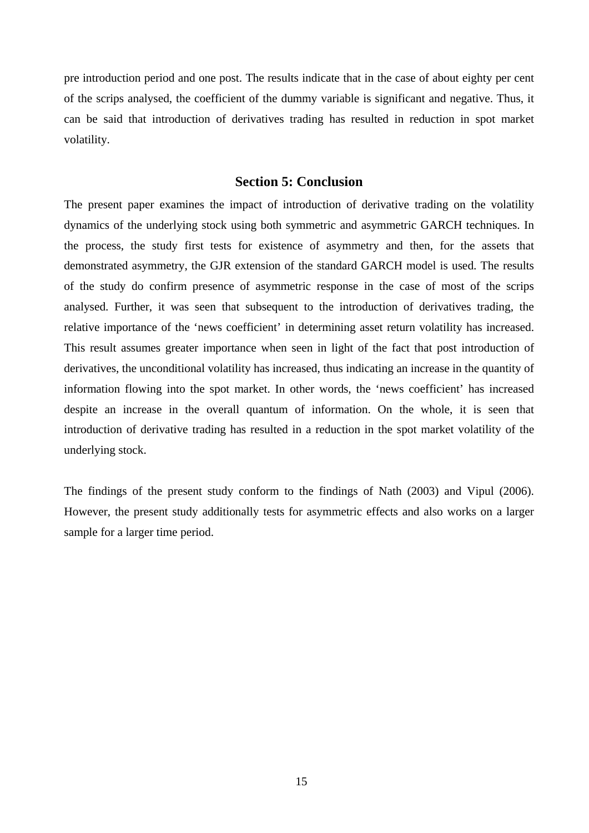pre introduction period and one post. The results indicate that in the case of about eighty per cent of the scrips analysed, the coefficient of the dummy variable is significant and negative. Thus, it can be said that introduction of derivatives trading has resulted in reduction in spot market volatility.

### **Section 5: Conclusion**

The present paper examines the impact of introduction of derivative trading on the volatility dynamics of the underlying stock using both symmetric and asymmetric GARCH techniques. In the process, the study first tests for existence of asymmetry and then, for the assets that demonstrated asymmetry, the GJR extension of the standard GARCH model is used. The results of the study do confirm presence of asymmetric response in the case of most of the scrips analysed. Further, it was seen that subsequent to the introduction of derivatives trading, the relative importance of the 'news coefficient' in determining asset return volatility has increased. This result assumes greater importance when seen in light of the fact that post introduction of derivatives, the unconditional volatility has increased, thus indicating an increase in the quantity of information flowing into the spot market. In other words, the 'news coefficient' has increased despite an increase in the overall quantum of information. On the whole, it is seen that introduction of derivative trading has resulted in a reduction in the spot market volatility of the underlying stock.

The findings of the present study conform to the findings of Nath (2003) and Vipul (2006). However, the present study additionally tests for asymmetric effects and also works on a larger sample for a larger time period.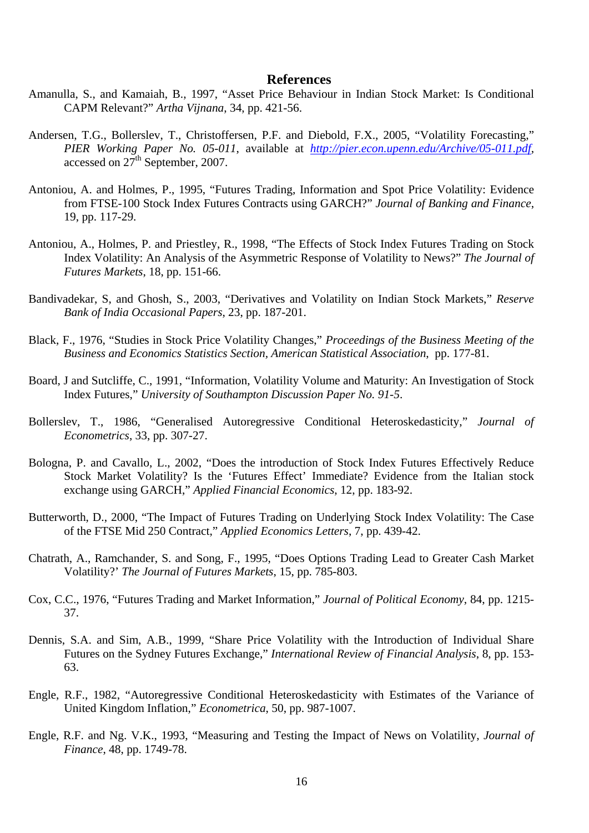### **References**

- Amanulla, S., and Kamaiah, B., 1997, "Asset Price Behaviour in Indian Stock Market: Is Conditional CAPM Relevant?" *Artha Vijnana*, 34, pp. 421-56.
- Andersen, T.G., Bollerslev, T., Christoffersen, P.F. and Diebold, F.X., 2005, "Volatility Forecasting," *PIER Working Paper No. 05-011*, available at *<http://pier.econ.upenn.edu/Archive/05-011.pdf>*, accessed on  $27<sup>th</sup>$  September, 2007.
- Antoniou, A. and Holmes, P., 1995, "Futures Trading, Information and Spot Price Volatility: Evidence from FTSE-100 Stock Index Futures Contracts using GARCH?" *Journal of Banking and Finance*, 19, pp. 117-29.
- Antoniou, A., Holmes, P. and Priestley, R., 1998, "The Effects of Stock Index Futures Trading on Stock Index Volatility: An Analysis of the Asymmetric Response of Volatility to News?" *The Journal of Futures Markets*, 18, pp. 151-66.
- Bandivadekar, S, and Ghosh, S., 2003, "Derivatives and Volatility on Indian Stock Markets," *Reserve Bank of India Occasional Papers*, 23, pp. 187-201.
- Black, F., 1976, "Studies in Stock Price Volatility Changes," *Proceedings of the Business Meeting of the Business and Economics Statistics Section, American Statistical Association*, pp. 177-81.
- Board, J and Sutcliffe, C., 1991, "Information, Volatility Volume and Maturity: An Investigation of Stock Index Futures," *University of Southampton Discussion Paper No. 91-5*.
- Bollerslev, T., 1986, "Generalised Autoregressive Conditional Heteroskedasticity," *Journal of Econometrics*, 33, pp. 307-27.
- Bologna, P. and Cavallo, L., 2002, "Does the introduction of Stock Index Futures Effectively Reduce Stock Market Volatility? Is the 'Futures Effect' Immediate? Evidence from the Italian stock exchange using GARCH," *Applied Financial Economics*, 12, pp. 183-92.
- Butterworth, D., 2000, "The Impact of Futures Trading on Underlying Stock Index Volatility: The Case of the FTSE Mid 250 Contract," *Applied Economics Letters*, 7, pp. 439-42.
- Chatrath, A., Ramchander, S. and Song, F., 1995, "Does Options Trading Lead to Greater Cash Market Volatility?' *The Journal of Futures Markets*, 15, pp. 785-803.
- Cox, C.C., 1976, "Futures Trading and Market Information," *Journal of Political Economy*, 84, pp. 1215- 37.
- Dennis, S.A. and Sim, A.B., 1999, "Share Price Volatility with the Introduction of Individual Share Futures on the Sydney Futures Exchange," *International Review of Financial Analysis*, 8, pp. 153- 63.
- Engle, R.F., 1982, "Autoregressive Conditional Heteroskedasticity with Estimates of the Variance of United Kingdom Inflation," *Econometrica*, 50, pp. 987-1007.
- Engle, R.F. and Ng. V.K., 1993, "Measuring and Testing the Impact of News on Volatility, *Journal of Finance*, 48, pp. 1749-78.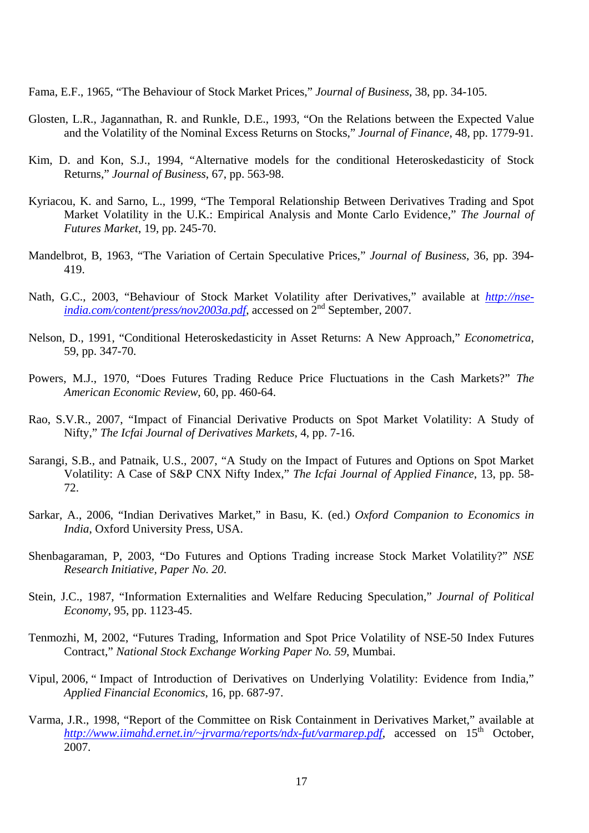Fama, E.F., 1965, "The Behaviour of Stock Market Prices," *Journal of Business*, 38, pp. 34-105.

- Glosten, L.R., Jagannathan, R. and Runkle, D.E., 1993, "On the Relations between the Expected Value and the Volatility of the Nominal Excess Returns on Stocks," *Journal of Finance*, 48, pp. 1779-91.
- Kim, D. and Kon, S.J., 1994, "Alternative models for the conditional Heteroskedasticity of Stock Returns," *Journal of Business*, 67, pp. 563-98.
- Kyriacou, K. and Sarno, L., 1999, "The Temporal Relationship Between Derivatives Trading and Spot Market Volatility in the U.K.: Empirical Analysis and Monte Carlo Evidence," *The Journal of Futures Market*, 19, pp. 245-70.
- Mandelbrot, B, 1963, "The Variation of Certain Speculative Prices," *Journal of Business*, 36, pp. 394- 419.
- Nath, G.C., 2003, "Behaviour of Stock Market Volatility after Derivatives," available at *[http://nse](http://nse-india.com/content/press/nov2003a.pdf)[india.com/content/press/nov2003a.pdf](http://nse-india.com/content/press/nov2003a.pdf)*, accessed on 2nd September, 2007.
- Nelson, D., 1991, "Conditional Heteroskedasticity in Asset Returns: A New Approach," *Econometrica*, 59, pp. 347-70.
- Powers, M.J., 1970, "Does Futures Trading Reduce Price Fluctuations in the Cash Markets?" *The American Economic Review*, 60, pp. 460-64.
- Rao, S.V.R., 2007, "Impact of Financial Derivative Products on Spot Market Volatility: A Study of Nifty," *The Icfai Journal of Derivatives Markets*, 4, pp. 7-16.
- Sarangi, S.B., and Patnaik, U.S., 2007, "A Study on the Impact of Futures and Options on Spot Market Volatility: A Case of S&P CNX Nifty Index," *The Icfai Journal of Applied Finance*, 13, pp. 58- 72.
- Sarkar, A., 2006, "Indian Derivatives Market," in Basu, K. (ed.) *Oxford Companion to Economics in India*, Oxford University Press, USA.
- Shenbagaraman, P, 2003, "Do Futures and Options Trading increase Stock Market Volatility?" *NSE Research Initiative, Paper No. 20*.
- Stein, J.C., 1987, "Information Externalities and Welfare Reducing Speculation," *Journal of Political Economy*, 95, pp. 1123-45.
- Tenmozhi, M, 2002, "Futures Trading, Information and Spot Price Volatility of NSE-50 Index Futures Contract," *National Stock Exchange Working Paper No. 59*, Mumbai.
- Vipul, 2006, " Impact of Introduction of Derivatives on Underlying Volatility: Evidence from India," *Applied Financial Economics*, 16, pp. 687-97.
- Varma, J.R., 1998, "Report of the Committee on Risk Containment in Derivatives Market," available at *<http://www.iimahd.ernet.in/~jrvarma/reports/ndx-fut/varmarep.pdf>,* accessed on 15<sup>th</sup> October, 2007.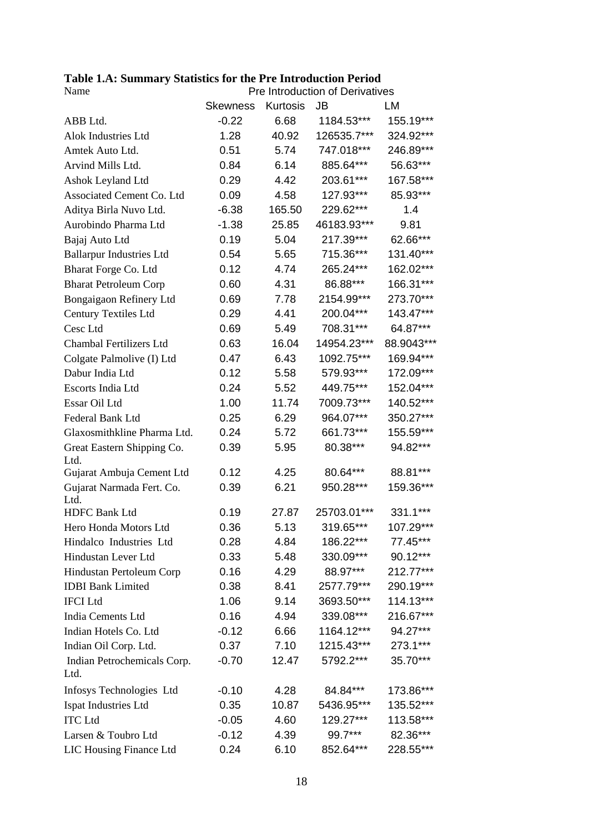## **Table 1.A: Summary Statistics for the Pre Introduction Period**

| Name                                |                 | Pre Introduction of Derivatives |             |            |
|-------------------------------------|-----------------|---------------------------------|-------------|------------|
|                                     | <b>Skewness</b> | Kurtosis                        | <b>JB</b>   | LM         |
| ABB Ltd.                            | $-0.22$         | 6.68                            | 1184.53***  | 155.19***  |
| Alok Industries Ltd                 | 1.28            | 40.92                           | 126535.7*** | 324.92***  |
| Amtek Auto Ltd.                     | 0.51            | 5.74                            | 747.018***  | 246.89***  |
| Arvind Mills Ltd.                   | 0.84            | 6.14                            | 885.64***   | 56.63***   |
| Ashok Leyland Ltd                   | 0.29            | 4.42                            | 203.61***   | 167.58***  |
| Associated Cement Co. Ltd           | 0.09            | 4.58                            | 127.93***   | 85.93***   |
| Aditya Birla Nuvo Ltd.              | $-6.38$         | 165.50                          | 229.62***   | 1.4        |
| Aurobindo Pharma Ltd                | $-1.38$         | 25.85                           | 46183.93*** | 9.81       |
| Bajaj Auto Ltd                      | 0.19            | 5.04                            | 217.39***   | 62.66***   |
| <b>Ballarpur Industries Ltd</b>     | 0.54            | 5.65                            | 715.36***   | 131.40***  |
| Bharat Forge Co. Ltd                | 0.12            | 4.74                            | 265.24***   | 162.02***  |
| <b>Bharat Petroleum Corp</b>        | 0.60            | 4.31                            | 86.88***    | 166.31***  |
| Bongaigaon Refinery Ltd             | 0.69            | 7.78                            | 2154.99***  | 273.70***  |
| <b>Century Textiles Ltd</b>         | 0.29            | 4.41                            | 200.04***   | 143.47***  |
| Cesc Ltd                            | 0.69            | 5.49                            | 708.31***   | 64.87***   |
| Chambal Fertilizers Ltd             | 0.63            | 16.04                           | 14954.23*** | 88.9043*** |
| Colgate Palmolive (I) Ltd           | 0.47            | 6.43                            | 1092.75***  | 169.94***  |
| Dabur India Ltd                     | 0.12            | 5.58                            | 579.93***   | 172.09***  |
| Escorts India Ltd                   | 0.24            | 5.52                            | 449.75***   | 152.04***  |
| Essar Oil Ltd                       | 1.00            | 11.74                           | 7009.73***  | 140.52***  |
| Federal Bank Ltd                    | 0.25            | 6.29                            | 964.07***   | 350.27***  |
| Glaxosmithkline Pharma Ltd.         | 0.24            | 5.72                            | 661.73***   | 155.59***  |
| Great Eastern Shipping Co.<br>Ltd.  | 0.39            | 5.95                            | 80.38***    | 94.82***   |
| Gujarat Ambuja Cement Ltd           | 0.12            | 4.25                            | 80.64***    | 88.81***   |
| Gujarat Narmada Fert. Co.<br>Ltd.   | 0.39            | 6.21                            | 950.28***   | 159.36***  |
| <b>HDFC Bank Ltd</b>                | 0.19            | 27.87                           | 25703.01*** | 331.1***   |
| Hero Honda Motors Ltd               | 0.36            | 5.13                            | 319.65***   | 107.29***  |
| Hindalco Industries Ltd             | 0.28            | 4.84                            | 186.22***   | 77.45***   |
| Hindustan Lever Ltd                 | 0.33            | 5.48                            | 330.09***   | 90.12***   |
| Hindustan Pertoleum Corp            | 0.16            | 4.29                            | 88.97***    | 212.77***  |
| <b>IDBI</b> Bank Limited            | 0.38            | 8.41                            | 2577.79***  | 290.19***  |
| <b>IFCI</b> Ltd                     | 1.06            | 9.14                            | 3693.50***  | 114.13***  |
| India Cements Ltd                   | 0.16            | 4.94                            | 339.08***   | 216.67***  |
| Indian Hotels Co. Ltd               | $-0.12$         | 6.66                            | 1164.12***  | 94.27***   |
| Indian Oil Corp. Ltd.               | 0.37            | 7.10                            | 1215.43***  | 273.1***   |
| Indian Petrochemicals Corp.<br>Ltd. | $-0.70$         | 12.47                           | 5792.2***   | 35.70***   |
| Infosys Technologies Ltd            | $-0.10$         | 4.28                            | 84.84***    | 173.86***  |
| Ispat Industries Ltd                | 0.35            | 10.87                           | 5436.95***  | 135.52***  |
| <b>ITC</b> Ltd                      | $-0.05$         | 4.60                            | 129.27***   | 113.58***  |
| Larsen & Toubro Ltd                 | $-0.12$         | 4.39                            | 99.7***     | 82.36***   |
| LIC Housing Finance Ltd             | 0.24            | 6.10                            | 852.64***   | 228.55***  |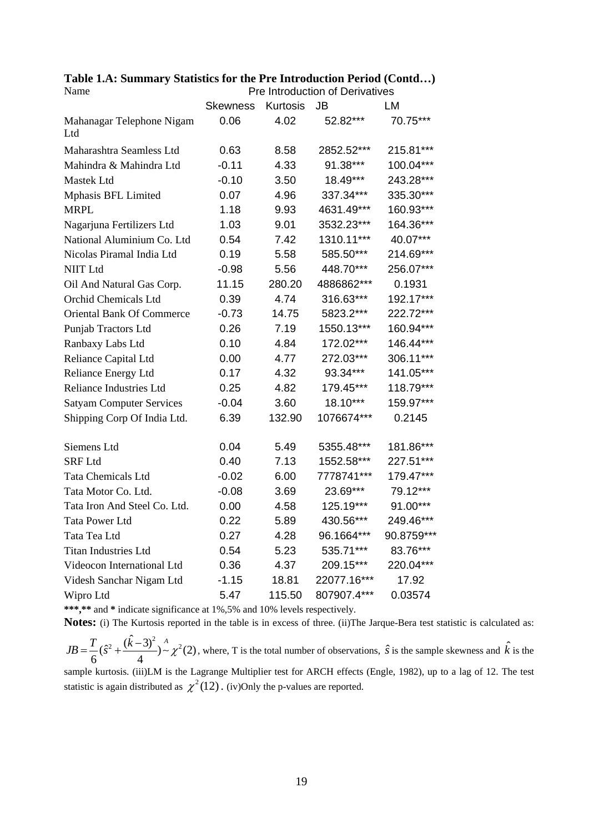**Table 1.A: Summary Statistics for the Pre Introduction Period (Contd…)** 

| Name                             |                 |          | Pre Introduction of Derivatives |            |  |  |
|----------------------------------|-----------------|----------|---------------------------------|------------|--|--|
|                                  | <b>Skewness</b> | Kurtosis | <b>JB</b>                       | LM         |  |  |
| Mahanagar Telephone Nigam<br>Ltd | 0.06            | 4.02     | 52.82***                        | 70.75***   |  |  |
|                                  |                 |          |                                 |            |  |  |
| Maharashtra Seamless Ltd         | 0.63            | 8.58     | 2852.52***                      | 215.81***  |  |  |
| Mahindra & Mahindra Ltd          | $-0.11$         | 4.33     | 91.38***                        | 100.04***  |  |  |
| Mastek Ltd                       | $-0.10$         | 3.50     | 18.49***                        | 243.28***  |  |  |
| Mphasis BFL Limited              | 0.07            | 4.96     | 337.34***                       | 335.30***  |  |  |
| <b>MRPL</b>                      | 1.18            | 9.93     | 4631.49***                      | 160.93***  |  |  |
| Nagarjuna Fertilizers Ltd        | 1.03            | 9.01     | 3532.23***                      | 164.36***  |  |  |
| National Aluminium Co. Ltd       | 0.54            | 7.42     | 1310.11***                      | 40.07***   |  |  |
| Nicolas Piramal India Ltd        | 0.19            | 5.58     | 585.50***                       | 214.69***  |  |  |
| <b>NIIT Ltd</b>                  | $-0.98$         | 5.56     | 448.70***                       | 256.07***  |  |  |
| Oil And Natural Gas Corp.        | 11.15           | 280.20   | 4886862***                      | 0.1931     |  |  |
| Orchid Chemicals Ltd             | 0.39            | 4.74     | 316.63***                       | 192.17***  |  |  |
| <b>Oriental Bank Of Commerce</b> | $-0.73$         | 14.75    | 5823.2***                       | 222.72***  |  |  |
| Punjab Tractors Ltd              | 0.26            | 7.19     | 1550.13***                      | 160.94***  |  |  |
| Ranbaxy Labs Ltd                 | 0.10            | 4.84     | 172.02***                       | 146.44***  |  |  |
| Reliance Capital Ltd             | 0.00            | 4.77     | 272.03***                       | 306.11***  |  |  |
| Reliance Energy Ltd              | 0.17            | 4.32     | 93.34***                        | 141.05***  |  |  |
| <b>Reliance Industries Ltd</b>   | 0.25            | 4.82     | 179.45***                       | 118.79***  |  |  |
| <b>Satyam Computer Services</b>  | $-0.04$         | 3.60     | 18.10***                        | 159.97***  |  |  |
| Shipping Corp Of India Ltd.      | 6.39            | 132.90   | 1076674***                      | 0.2145     |  |  |
| Siemens Ltd                      | 0.04            | 5.49     | 5355.48***                      | 181.86***  |  |  |
| <b>SRF Ltd</b>                   | 0.40            | 7.13     | 1552.58***                      | 227.51***  |  |  |
| <b>Tata Chemicals Ltd</b>        | $-0.02$         | 6.00     | 7778741***                      | 179.47***  |  |  |
| Tata Motor Co. Ltd.              | $-0.08$         | 3.69     | 23.69***                        | 79.12***   |  |  |
| Tata Iron And Steel Co. Ltd.     | 0.00            | 4.58     | 125.19***                       | 91.00***   |  |  |
| Tata Power Ltd                   | 0.22            | 5.89     | 430.56***                       | 249.46***  |  |  |
| Tata Tea Ltd                     | 0.27            | 4.28     | 96.1664***                      | 90.8759*** |  |  |
| <b>Titan Industries Ltd</b>      | 0.54            | 5.23     | 535.71***                       | 83.76***   |  |  |
| Videocon International Ltd       | 0.36            | 4.37     | 209.15***                       | 220.04***  |  |  |
| Videsh Sanchar Nigam Ltd         | $-1.15$         | 18.81    | 22077.16***                     | 17.92      |  |  |
| Wipro Ltd                        | 5.47            | 115.50   | 807907.4***                     | 0.03574    |  |  |

**\*\*\*,\*\*** and **\*** indicate significance at 1%,5% and 10% levels respectively.

**Notes:** (i) The Kurtosis reported in the table is in excess of three. (ii)The Jarque-Bera test statistic is calculated as:

 $JB = \frac{T}{6}(\hat{s}^2 + \frac{(\hat{k}-3)^2}{4}) \sim \chi^2(2)$ , where, T is the total number of observations,  $\hat{s}$  is the sample skewness and  $\hat{k}$  is the sample kurtosis. (iii)LM is the Lagrange Multiplier test for ARCH effects (Engle, 1982), up to a lag of 12. The test

statistic is again distributed as  $\chi^2(12)$ . (iv)Only the p-values are reported.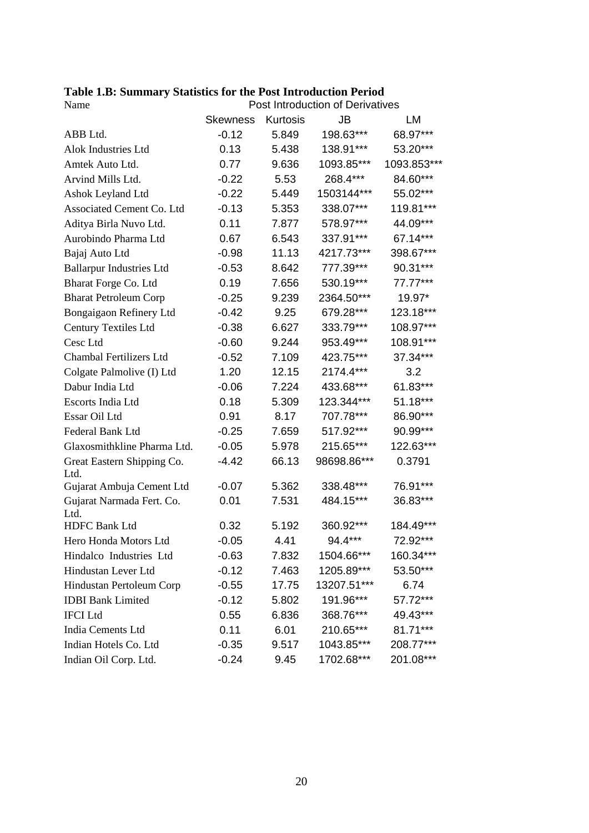| Table 1.B: Summary Statistics for the Post Introduction Period |  |
|----------------------------------------------------------------|--|
|----------------------------------------------------------------|--|

| Name                               | Post Introduction of Derivatives |          |             |             |  |  |  |
|------------------------------------|----------------------------------|----------|-------------|-------------|--|--|--|
|                                    | <b>Skewness</b>                  | Kurtosis | <b>JB</b>   | LM          |  |  |  |
| ABB Ltd.                           | $-0.12$                          | 5.849    | 198.63***   | 68.97***    |  |  |  |
| Alok Industries Ltd                | 0.13                             | 5.438    | 138.91***   | 53.20***    |  |  |  |
| Amtek Auto Ltd.                    | 0.77                             | 9.636    | 1093.85***  | 1093.853*** |  |  |  |
| Arvind Mills Ltd.                  | $-0.22$                          | 5.53     | 268.4***    | 84.60***    |  |  |  |
| Ashok Leyland Ltd                  | $-0.22$                          | 5.449    | 1503144***  | 55.02***    |  |  |  |
| Associated Cement Co. Ltd          | $-0.13$                          | 5.353    | 338.07***   | 119.81***   |  |  |  |
| Aditya Birla Nuvo Ltd.             | 0.11                             | 7.877    | 578.97***   | 44.09***    |  |  |  |
| Aurobindo Pharma Ltd               | 0.67                             | 6.543    | 337.91***   | 67.14***    |  |  |  |
| Bajaj Auto Ltd                     | $-0.98$                          | 11.13    | 4217.73***  | 398.67***   |  |  |  |
| <b>Ballarpur Industries Ltd</b>    | $-0.53$                          | 8.642    | 777.39***   | 90.31***    |  |  |  |
| Bharat Forge Co. Ltd               | 0.19                             | 7.656    | 530.19***   | 77.77***    |  |  |  |
| <b>Bharat Petroleum Corp</b>       | $-0.25$                          | 9.239    | 2364.50***  | 19.97*      |  |  |  |
| Bongaigaon Refinery Ltd            | $-0.42$                          | 9.25     | 679.28***   | 123.18***   |  |  |  |
| <b>Century Textiles Ltd</b>        | $-0.38$                          | 6.627    | 333.79***   | 108.97***   |  |  |  |
| Cesc Ltd                           | $-0.60$                          | 9.244    | 953.49***   | 108.91***   |  |  |  |
| Chambal Fertilizers Ltd            | $-0.52$                          | 7.109    | 423.75***   | 37.34***    |  |  |  |
| Colgate Palmolive (I) Ltd          | 1.20                             | 12.15    | 2174.4***   | 3.2         |  |  |  |
| Dabur India Ltd                    | $-0.06$                          | 7.224    | 433.68***   | 61.83***    |  |  |  |
| Escorts India Ltd                  | 0.18                             | 5.309    | 123.344***  | 51.18***    |  |  |  |
| Essar Oil Ltd                      | 0.91                             | 8.17     | 707.78***   | 86.90***    |  |  |  |
| Federal Bank Ltd                   | $-0.25$                          | 7.659    | 517.92***   | 90.99***    |  |  |  |
| Glaxosmithkline Pharma Ltd.        | $-0.05$                          | 5.978    | 215.65***   | 122.63***   |  |  |  |
| Great Eastern Shipping Co.<br>Ltd. | $-4.42$                          | 66.13    | 98698.86*** | 0.3791      |  |  |  |
| Gujarat Ambuja Cement Ltd          | $-0.07$                          | 5.362    | 338.48***   | 76.91***    |  |  |  |
| Gujarat Narmada Fert. Co.<br>Ltd.  | 0.01                             | 7.531    | 484.15***   | 36.83***    |  |  |  |
| <b>HDFC Bank Ltd</b>               | 0.32                             | 5.192    | 360.92***   | 184.49***   |  |  |  |
| Hero Honda Motors Ltd              | $-0.05$                          | 4.41     | 94.4***     | 72.92***    |  |  |  |
| Hindalco Industries Ltd            | $-0.63$                          | 7.832    | 1504.66***  | 160.34***   |  |  |  |
| Hindustan Lever Ltd                | $-0.12$                          | 7.463    | 1205.89***  | 53.50***    |  |  |  |
| Hindustan Pertoleum Corp           | $-0.55$                          | 17.75    | 13207.51*** | 6.74        |  |  |  |
| <b>IDBI</b> Bank Limited           | $-0.12$                          | 5.802    | 191.96***   | 57.72***    |  |  |  |
| <b>IFCI</b> Ltd                    | 0.55                             | 6.836    | 368.76***   | 49.43***    |  |  |  |
| India Cements Ltd                  | 0.11                             | 6.01     | 210.65***   | 81.71***    |  |  |  |
| Indian Hotels Co. Ltd              | $-0.35$                          | 9.517    | 1043.85***  | 208.77***   |  |  |  |
| Indian Oil Corp. Ltd.              | $-0.24$                          | 9.45     | 1702.68***  | 201.08***   |  |  |  |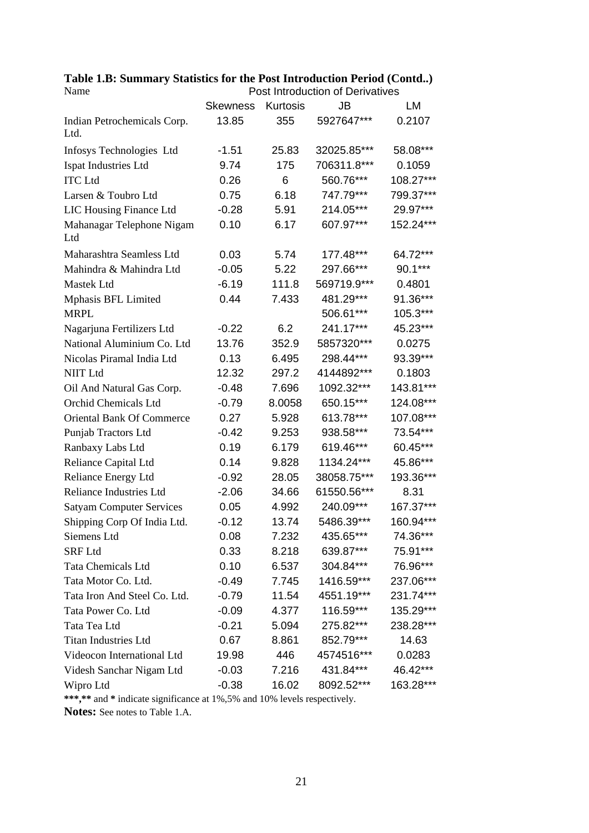|                                  | <b>Skewness</b> | Kurtosis | JB          | LM        |
|----------------------------------|-----------------|----------|-------------|-----------|
| Indian Petrochemicals Corp.      | 13.85           | 355      | 5927647***  | 0.2107    |
| Ltd.                             |                 |          |             |           |
| Infosys Technologies Ltd         | $-1.51$         | 25.83    | 32025.85*** | 58.08***  |
| Ispat Industries Ltd             | 9.74            | 175      | 706311.8*** | 0.1059    |
| <b>ITC</b> Ltd                   | 0.26            | 6        | 560.76***   | 108.27*** |
| Larsen & Toubro Ltd              | 0.75            | 6.18     | 747.79***   | 799.37*** |
| LIC Housing Finance Ltd          | $-0.28$         | 5.91     | 214.05***   | 29.97***  |
| Mahanagar Telephone Nigam<br>Ltd | 0.10            | 6.17     | 607.97***   | 152.24*** |
|                                  |                 |          |             |           |
| Maharashtra Seamless Ltd         | 0.03            | 5.74     | 177.48***   | 64.72***  |
| Mahindra & Mahindra Ltd          | $-0.05$         | 5.22     | 297.66***   | 90.1***   |
| Mastek Ltd                       | $-6.19$         | 111.8    | 569719.9*** | 0.4801    |
| Mphasis BFL Limited              | 0.44            | 7.433    | 481.29***   | 91.36***  |
| <b>MRPL</b>                      |                 |          | 506.61***   | 105.3***  |
| Nagarjuna Fertilizers Ltd        | $-0.22$         | 6.2      | 241.17***   | 45.23***  |
| National Aluminium Co. Ltd       | 13.76           | 352.9    | 5857320***  | 0.0275    |
| Nicolas Piramal India Ltd        | 0.13            | 6.495    | 298.44***   | 93.39***  |
| <b>NIIT Ltd</b>                  | 12.32           | 297.2    | 4144892***  | 0.1803    |
| Oil And Natural Gas Corp.        | $-0.48$         | 7.696    | 1092.32***  | 143.81*** |
| Orchid Chemicals Ltd             | $-0.79$         | 8.0058   | 650.15***   | 124.08*** |
| <b>Oriental Bank Of Commerce</b> | 0.27            | 5.928    | 613.78***   | 107.08*** |
| Punjab Tractors Ltd              | $-0.42$         | 9.253    | 938.58***   | 73.54***  |
| Ranbaxy Labs Ltd                 | 0.19            | 6.179    | 619.46***   | 60.45***  |
| Reliance Capital Ltd             | 0.14            | 9.828    | 1134.24***  | 45.86***  |
| Reliance Energy Ltd              | $-0.92$         | 28.05    | 38058.75*** | 193.36*** |
| <b>Reliance Industries Ltd</b>   | $-2.06$         | 34.66    | 61550.56*** | 8.31      |
| <b>Satyam Computer Services</b>  | 0.05            | 4.992    | 240.09***   | 167.37*** |
| Shipping Corp Of India Ltd.      | $-0.12$         | 13.74    | 5486.39***  | 160.94*** |
| Siemens Ltd                      | 0.08            | 7.232    | 435.65***   | 74.36***  |
| <b>SRF</b> Ltd                   | 0.33            | 8.218    | 639.87***   | 75.91***  |
| <b>Tata Chemicals Ltd</b>        | 0.10            | 6.537    | 304.84***   | 76.96***  |
| Tata Motor Co. Ltd.              | $-0.49$         | 7.745    | 1416.59***  | 237.06*** |
| Tata Iron And Steel Co. Ltd.     | $-0.79$         | 11.54    | 4551.19***  | 231.74*** |
| Tata Power Co. Ltd               | $-0.09$         | 4.377    | 116.59***   | 135.29*** |
| Tata Tea Ltd                     | $-0.21$         | 5.094    | 275.82***   | 238.28*** |
| <b>Titan Industries Ltd</b>      | 0.67            | 8.861    | 852.79***   | 14.63     |
| Videocon International Ltd       | 19.98           | 446      | 4574516***  | 0.0283    |
| Videsh Sanchar Nigam Ltd         | $-0.03$         | 7.216    | 431.84***   | 46.42***  |
| Wipro Ltd                        | $-0.38$         | 16.02    | 8092.52***  | 163.28*** |

**Table 1.B: Summary Statistics for the Post Introduction Period (Contd..)**  Name **Post Introduction of Derivatives** 

**\*\*\*,\*\*** and **\*** indicate significance at 1%,5% and 10% levels respectively.

**Notes:** See notes to Table 1.A.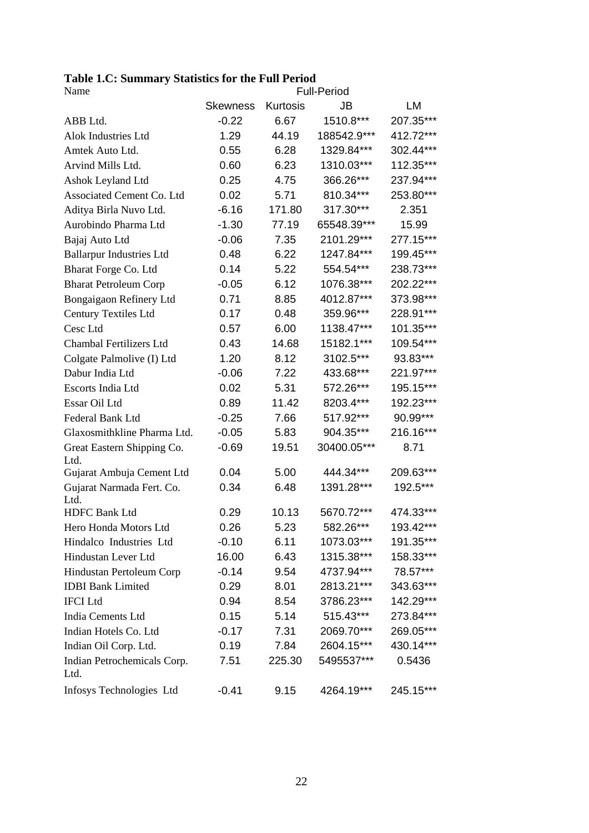| <b>Table 1.C: Summary Statistics for the Full Period</b> |  |  |
|----------------------------------------------------------|--|--|
|----------------------------------------------------------|--|--|

| Name                                |                 |          | <b>Full-Period</b> |           |  |  |
|-------------------------------------|-----------------|----------|--------------------|-----------|--|--|
|                                     | <b>Skewness</b> | Kurtosis | <b>JB</b>          | LM        |  |  |
| ABB Ltd.                            | $-0.22$         | 6.67     | 1510.8***          | 207.35*** |  |  |
| Alok Industries Ltd                 | 1.29            | 44.19    | 188542.9***        | 412.72*** |  |  |
| Amtek Auto Ltd.                     | 0.55            | 6.28     | 1329.84***         | 302.44*** |  |  |
| Arvind Mills Ltd.                   | 0.60            | 6.23     | 1310.03***         | 112.35*** |  |  |
| Ashok Leyland Ltd                   | 0.25            | 4.75     | 366.26***          | 237.94*** |  |  |
| Associated Cement Co. Ltd           | 0.02            | 5.71     | 810.34***          | 253.80*** |  |  |
| Aditya Birla Nuvo Ltd.              | $-6.16$         | 171.80   | 317.30***          | 2.351     |  |  |
| Aurobindo Pharma Ltd                | $-1.30$         | 77.19    | 65548.39***        | 15.99     |  |  |
| Bajaj Auto Ltd                      | $-0.06$         | 7.35     | 2101.29***         | 277.15*** |  |  |
| <b>Ballarpur Industries Ltd</b>     | 0.48            | 6.22     | 1247.84***         | 199.45*** |  |  |
| Bharat Forge Co. Ltd                | 0.14            | 5.22     | 554.54***          | 238.73*** |  |  |
| <b>Bharat Petroleum Corp</b>        | $-0.05$         | 6.12     | 1076.38***         | 202.22*** |  |  |
| Bongaigaon Refinery Ltd             | 0.71            | 8.85     | 4012.87***         | 373.98*** |  |  |
| <b>Century Textiles Ltd</b>         | 0.17            | 0.48     | 359.96***          | 228.91*** |  |  |
| Cesc Ltd                            | 0.57            | 6.00     | 1138.47***         | 101.35*** |  |  |
| Chambal Fertilizers Ltd             | 0.43            | 14.68    | 15182.1***         | 109.54*** |  |  |
| Colgate Palmolive (I) Ltd           | 1.20            | 8.12     | 3102.5***          | 93.83***  |  |  |
| Dabur India Ltd                     | $-0.06$         | 7.22     | 433.68***          | 221.97*** |  |  |
| Escorts India Ltd                   | 0.02            | 5.31     | 572.26***          | 195.15*** |  |  |
| Essar Oil Ltd                       | 0.89            | 11.42    | 8203.4***          | 192.23*** |  |  |
| Federal Bank Ltd                    | $-0.25$         | 7.66     | 517.92***          | 90.99***  |  |  |
| Glaxosmithkline Pharma Ltd.         | $-0.05$         | 5.83     | 904.35***          | 216.16*** |  |  |
| Great Eastern Shipping Co.<br>Ltd.  | $-0.69$         | 19.51    | 30400.05***        | 8.71      |  |  |
| Gujarat Ambuja Cement Ltd           | 0.04            | 5.00     | 444.34***          | 209.63*** |  |  |
| Gujarat Narmada Fert. Co.<br>Ltd.   | 0.34            | 6.48     | 1391.28***         | 192.5***  |  |  |
| <b>HDFC Bank Ltd</b>                | 0.29            | 10.13    | 5670.72***         | 474.33*** |  |  |
| Hero Honda Motors Ltd               | 0.26            | 5.23     | 582.26***          | 193.42*** |  |  |
| Hindalco Industries Ltd             | $-0.10$         | 6.11     | 1073.03***         | 191.35*** |  |  |
| Hindustan Lever Ltd                 | 16.00           | 6.43     | 1315.38***         | 158.33*** |  |  |
| Hindustan Pertoleum Corp            | $-0.14$         | 9.54     | 4737.94***         | 78.57***  |  |  |
| <b>IDBI</b> Bank Limited            | 0.29            | 8.01     | 2813.21***         | 343.63*** |  |  |
| <b>IFCI</b> Ltd                     | 0.94            | 8.54     | 3786.23***         | 142.29*** |  |  |
| India Cements Ltd                   | 0.15            | 5.14     | 515.43***          | 273.84*** |  |  |
| Indian Hotels Co. Ltd               | $-0.17$         | 7.31     | 2069.70***         | 269.05*** |  |  |
| Indian Oil Corp. Ltd.               | 0.19            | 7.84     | 2604.15***         | 430.14*** |  |  |
| Indian Petrochemicals Corp.<br>Ltd. | 7.51            | 225.30   | 5495537***         | 0.5436    |  |  |
| Infosys Technologies Ltd            | $-0.41$         | 9.15     | 4264.19***         | 245.15*** |  |  |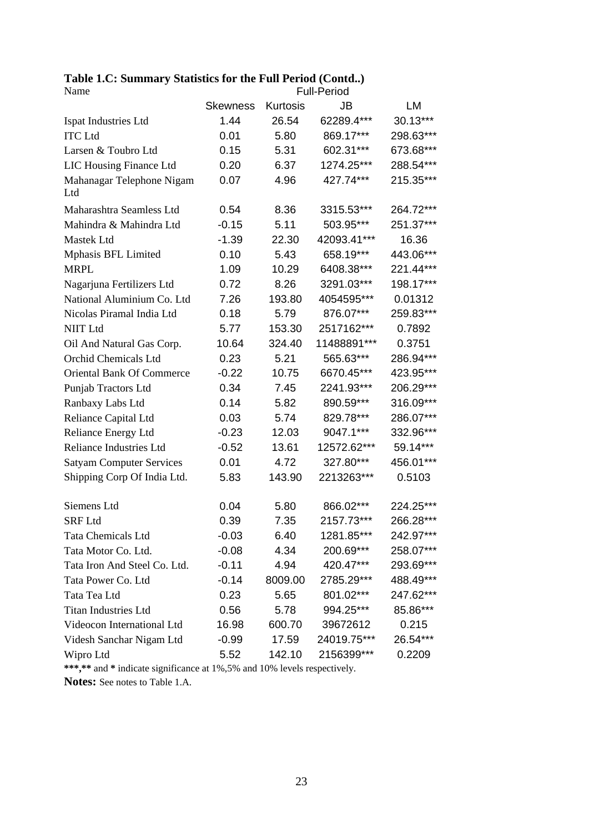## **Table 1.C: Summary Statistics for the Full Period (Contd..)**

| Name                             |                 |          | <b>Full-Period</b> |           |  |  |
|----------------------------------|-----------------|----------|--------------------|-----------|--|--|
|                                  | <b>Skewness</b> | Kurtosis | JB                 | LM        |  |  |
| Ispat Industries Ltd             | 1.44            | 26.54    | 62289.4***         | 30.13***  |  |  |
| <b>ITC Ltd</b>                   | 0.01            | 5.80     | 869.17***          | 298.63*** |  |  |
| Larsen & Toubro Ltd              | 0.15            | 5.31     | 602.31***          | 673.68*** |  |  |
| LIC Housing Finance Ltd          | 0.20            | 6.37     | 1274.25***         | 288.54*** |  |  |
| Mahanagar Telephone Nigam<br>Ltd | 0.07            | 4.96     | 427.74***          | 215.35*** |  |  |
| Maharashtra Seamless Ltd         | 0.54            | 8.36     | 3315.53***         | 264.72*** |  |  |
| Mahindra & Mahindra Ltd          | $-0.15$         | 5.11     | 503.95***          | 251.37*** |  |  |
| Mastek Ltd                       | $-1.39$         | 22.30    | 42093.41***        | 16.36     |  |  |
| Mphasis BFL Limited              | 0.10            | 5.43     | 658.19***          | 443.06*** |  |  |
| <b>MRPL</b>                      | 1.09            | 10.29    | 6408.38***         | 221.44*** |  |  |
| Nagarjuna Fertilizers Ltd        | 0.72            | 8.26     | 3291.03***         | 198.17*** |  |  |
| National Aluminium Co. Ltd       | 7.26            | 193.80   | 4054595***         | 0.01312   |  |  |
| Nicolas Piramal India Ltd        | 0.18            | 5.79     | 876.07***          | 259.83*** |  |  |
| <b>NIIT Ltd</b>                  | 5.77            | 153.30   | 2517162***         | 0.7892    |  |  |
| Oil And Natural Gas Corp.        | 10.64           | 324.40   | 11488891***        | 0.3751    |  |  |
| Orchid Chemicals Ltd             | 0.23            | 5.21     | 565.63***          | 286.94*** |  |  |
| <b>Oriental Bank Of Commerce</b> | $-0.22$         | 10.75    | 6670.45***         | 423.95*** |  |  |
| Punjab Tractors Ltd              | 0.34            | 7.45     | 2241.93***         | 206.29*** |  |  |
| Ranbaxy Labs Ltd                 | 0.14            | 5.82     | 890.59***          | 316.09*** |  |  |
| Reliance Capital Ltd             | 0.03            | 5.74     | 829.78***          | 286.07*** |  |  |
| Reliance Energy Ltd              | $-0.23$         | 12.03    | 9047.1***          | 332.96*** |  |  |
| <b>Reliance Industries Ltd</b>   | $-0.52$         | 13.61    | 12572.62***        | 59.14***  |  |  |
| <b>Satyam Computer Services</b>  | 0.01            | 4.72     | 327.80***          | 456.01*** |  |  |
| Shipping Corp Of India Ltd.      | 5.83            | 143.90   | 2213263***         | 0.5103    |  |  |
| Siemens Ltd                      | 0.04            | 5.80     | 866.02***          | 224.25*** |  |  |
| <b>SRF Ltd</b>                   | 0.39            | 7.35     | 2157.73***         | 266.28*** |  |  |
| <b>Tata Chemicals Ltd</b>        | $-0.03$         | 6.40     | 1281.85***         | 242.97*** |  |  |
| Tata Motor Co. Ltd.              | $-0.08$         | 4.34     | 200.69***          | 258.07*** |  |  |
| Tata Iron And Steel Co. Ltd.     | $-0.11$         | 4.94     | 420.47***          | 293.69*** |  |  |
| Tata Power Co. Ltd               | $-0.14$         | 8009.00  | 2785.29***         | 488.49*** |  |  |
| Tata Tea Ltd                     | 0.23            | 5.65     | 801.02***          | 247.62*** |  |  |
| <b>Titan Industries Ltd</b>      | 0.56            | 5.78     | 994.25***          | 85.86***  |  |  |
| Videocon International Ltd       | 16.98           | 600.70   | 39672612           | 0.215     |  |  |
| Videsh Sanchar Nigam Ltd         | $-0.99$         | 17.59    | 24019.75***        | 26.54***  |  |  |
| Wipro Ltd                        | 5.52            | 142.10   | 2156399***         | 0.2209    |  |  |

\*\*\*,\*\* and \* indicate significance at 1%,5% and 10% levels respectively.

**Notes:** See notes to Table 1.A.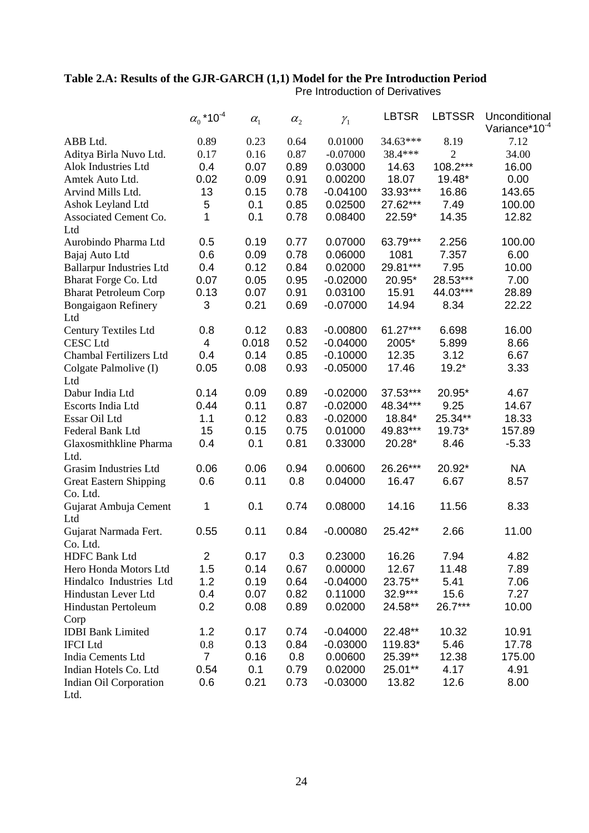## **Table 2.A: Results of the GJR-GARCH (1,1) Model for the Pre Introduction Period**

Pre Introduction of Derivatives

|                                 | $\alpha_0$ *10 <sup>-4</sup> | $\alpha_{1}$ | $\alpha_{2}$ | $\mathcal{Y}_1$ | <b>LBTSR</b> | <b>LBTSSR</b>  | Unconditional<br>Variance*10 <sup>-4</sup> |
|---------------------------------|------------------------------|--------------|--------------|-----------------|--------------|----------------|--------------------------------------------|
| ABB Ltd.                        | 0.89                         | 0.23         | 0.64         | 0.01000         | 34.63***     | 8.19           | 7.12                                       |
| Aditya Birla Nuvo Ltd.          | 0.17                         | 0.16         | 0.87         | $-0.07000$      | 38.4***      | $\overline{2}$ | 34.00                                      |
| Alok Industries Ltd             | 0.4                          | 0.07         | 0.89         | 0.03000         | 14.63        | 108.2***       | 16.00                                      |
| Amtek Auto Ltd.                 | 0.02                         | 0.09         | 0.91         | 0.00200         | 18.07        | 19.48*         | 0.00                                       |
| Arvind Mills Ltd.               | 13                           | 0.15         | 0.78         | $-0.04100$      | 33.93***     | 16.86          | 143.65                                     |
| Ashok Leyland Ltd               | 5                            | 0.1          | 0.85         | 0.02500         | 27.62***     | 7.49           | 100.00                                     |
| Associated Cement Co.           | 1                            | 0.1          | 0.78         | 0.08400         | 22.59*       | 14.35          | 12.82                                      |
| Ltd                             |                              |              |              |                 |              |                |                                            |
| Aurobindo Pharma Ltd            | 0.5                          | 0.19         | 0.77         | 0.07000         | 63.79***     | 2.256          | 100.00                                     |
| Bajaj Auto Ltd                  | 0.6                          | 0.09         | 0.78         | 0.06000         | 1081         | 7.357          | 6.00                                       |
| <b>Ballarpur Industries Ltd</b> | 0.4                          | 0.12         | 0.84         | 0.02000         | 29.81***     | 7.95           | 10.00                                      |
| Bharat Forge Co. Ltd            | 0.07                         | 0.05         | 0.95         | $-0.02000$      | 20.95*       | 28.53***       | 7.00                                       |
| <b>Bharat Petroleum Corp</b>    | 0.13                         | 0.07         | 0.91         | 0.03100         | 15.91        | 44.03***       | 28.89                                      |
| <b>Bongaigaon Refinery</b>      | 3                            | 0.21         | 0.69         | $-0.07000$      | 14.94        | 8.34           | 22.22                                      |
| Ltd                             |                              |              |              |                 |              |                |                                            |
| Century Textiles Ltd            | 0.8                          | 0.12         | 0.83         | $-0.00800$      | $61.27***$   | 6.698          | 16.00                                      |
| <b>CESC</b> Ltd                 | $\overline{\mathbf{4}}$      | 0.018        | 0.52         | $-0.04000$      | 2005*        | 5.899          | 8.66                                       |
| Chambal Fertilizers Ltd         | 0.4                          | 0.14         | 0.85         | $-0.10000$      | 12.35        | 3.12           | 6.67                                       |
| Colgate Palmolive (I)           | 0.05                         | 0.08         | 0.93         | $-0.05000$      | 17.46        | $19.2*$        | 3.33                                       |
| Ltd                             |                              |              |              |                 |              |                |                                            |
| Dabur India Ltd                 | 0.14                         | 0.09         | 0.89         | $-0.02000$      | 37.53***     | 20.95*         | 4.67                                       |
| Escorts India Ltd               | 0.44                         | 0.11         | 0.87         | $-0.02000$      | 48.34***     | 9.25           | 14.67                                      |
| Essar Oil Ltd                   | 1.1                          | 0.12         | 0.83         | $-0.02000$      | 18.84*       | 25.34**        | 18.33                                      |
| Federal Bank Ltd                | 15                           | 0.15         | 0.75         | 0.01000         | 49.83***     | 19.73*         | 157.89                                     |
| Glaxosmithkline Pharma          | 0.4                          | 0.1          | 0.81         | 0.33000         | 20.28*       | 8.46           | $-5.33$                                    |
| Ltd.                            |                              |              |              |                 |              |                |                                            |
| Grasim Industries Ltd           | 0.06                         | 0.06         | 0.94         | 0.00600         | 26.26***     | 20.92*         | <b>NA</b>                                  |
| <b>Great Eastern Shipping</b>   | 0.6                          | 0.11         | 0.8          | 0.04000         | 16.47        | 6.67           | 8.57                                       |
| Co. Ltd.                        |                              |              |              |                 |              |                |                                            |
| Gujarat Ambuja Cement           | 1                            | 0.1          | 0.74         | 0.08000         | 14.16        | 11.56          | 8.33                                       |
| Ltd                             |                              |              |              |                 |              |                |                                            |
| Gujarat Narmada Fert.           | 0.55                         | 0.11         | 0.84         | $-0.00080$      | 25.42**      | 2.66           | 11.00                                      |
| Co. Ltd.                        |                              |              |              |                 |              |                |                                            |
| <b>HDFC Bank Ltd</b>            | $\overline{2}$               | 0.17         | 0.3          | 0.23000         | 16.26        | 7.94           | 4.82                                       |
| Hero Honda Motors Ltd           | 1.5                          | 0.14         | 0.67         | 0.00000         | 12.67        | 11.48          | 7.89                                       |
| Hindalco Industries Ltd         | 1.2                          | 0.19         | 0.64         | $-0.04000$      | 23.75**      | 5.41           | 7.06                                       |
| Hindustan Lever Ltd             | 0.4                          | 0.07         | 0.82         | 0.11000         | 32.9***      | 15.6           | 7.27                                       |
| Hindustan Pertoleum             | 0.2                          | 0.08         | 0.89         | 0.02000         | 24.58**      | 26.7***        | 10.00                                      |
| Corp                            |                              |              |              |                 |              |                |                                            |
| <b>IDBI</b> Bank Limited        | 1.2                          | 0.17         | 0.74         | $-0.04000$      | 22.48**      | 10.32          | 10.91                                      |
| <b>IFCI</b> Ltd                 | 0.8                          | 0.13         | 0.84         | $-0.03000$      | 119.83*      | 5.46           | 17.78                                      |
| India Cements Ltd               | $\overline{7}$               | 0.16         | 0.8          | 0.00600         | 25.39**      | 12.38          | 175.00                                     |
| Indian Hotels Co. Ltd           | 0.54                         | 0.1          | 0.79         | 0.02000         | 25.01**      | 4.17           | 4.91                                       |
| Indian Oil Corporation          | 0.6                          | 0.21         | 0.73         | $-0.03000$      | 13.82        | 12.6           | 8.00                                       |
| Ltd.                            |                              |              |              |                 |              |                |                                            |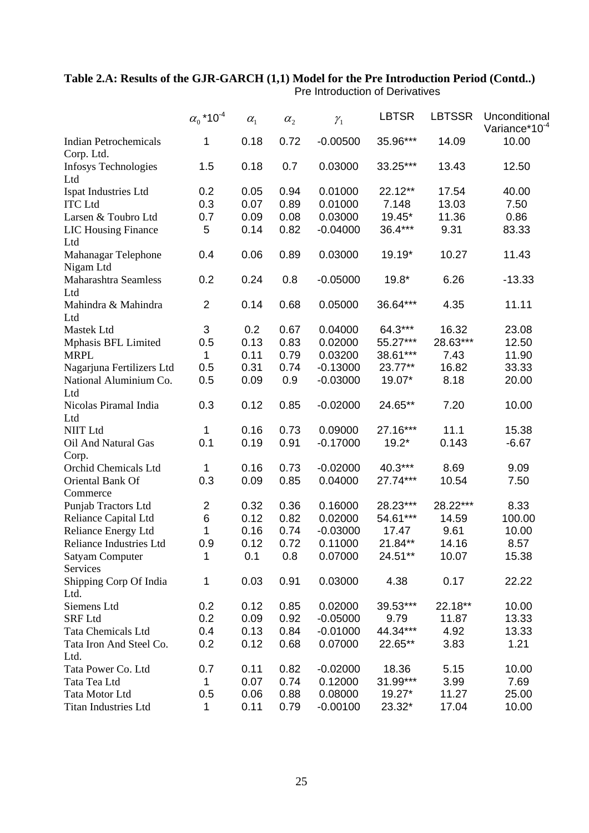## **Table 2.A: Results of the GJR-GARCH (1,1) Model for the Pre Introduction Period (Contd..)**

|                                            | $\alpha_0$ *10 <sup>-4</sup> | $\alpha_{\rm l}$ | $\alpha_{2}$ | $\mathcal{Y}_1$ | <b>LBTSR</b> | <b>LBTSSR</b> | Unconditional<br>Variance*10 <sup>-4</sup> |
|--------------------------------------------|------------------------------|------------------|--------------|-----------------|--------------|---------------|--------------------------------------------|
| <b>Indian Petrochemicals</b><br>Corp. Ltd. | 1                            | 0.18             | 0.72         | $-0.00500$      | 35.96***     | 14.09         | 10.00                                      |
| <b>Infosys Technologies</b><br>Ltd         | 1.5                          | 0.18             | 0.7          | 0.03000         | 33.25***     | 13.43         | 12.50                                      |
| Ispat Industries Ltd                       | 0.2                          | 0.05             | 0.94         | 0.01000         | 22.12**      | 17.54         | 40.00                                      |
| <b>ITC</b> Ltd                             | 0.3                          | 0.07             | 0.89         | 0.01000         | 7.148        | 13.03         | 7.50                                       |
| Larsen & Toubro Ltd                        | 0.7                          | 0.09             | 0.08         | 0.03000         | 19.45*       | 11.36         | 0.86                                       |
| <b>LIC Housing Finance</b><br>Ltd          | 5                            | 0.14             | 0.82         | $-0.04000$      | 36.4***      | 9.31          | 83.33                                      |
| Mahanagar Telephone<br>Nigam Ltd           | 0.4                          | 0.06             | 0.89         | 0.03000         | 19.19*       | 10.27         | 11.43                                      |
| Maharashtra Seamless<br>Ltd                | 0.2                          | 0.24             | 0.8          | $-0.05000$      | $19.8*$      | 6.26          | $-13.33$                                   |
| Mahindra & Mahindra<br>Ltd                 | $\overline{2}$               | 0.14             | 0.68         | 0.05000         | 36.64***     | 4.35          | 11.11                                      |
| Mastek Ltd                                 | 3                            | 0.2              | 0.67         | 0.04000         | 64.3***      | 16.32         | 23.08                                      |
| Mphasis BFL Limited                        | 0.5                          | 0.13             | 0.83         | 0.02000         | 55.27***     | 28.63***      | 12.50                                      |
| <b>MRPL</b>                                | 1                            | 0.11             | 0.79         | 0.03200         | 38.61***     | 7.43          | 11.90                                      |
| Nagarjuna Fertilizers Ltd                  | 0.5                          | 0.31             | 0.74         | $-0.13000$      | 23.77**      | 16.82         | 33.33                                      |
| National Aluminium Co.<br>Ltd              | 0.5                          | 0.09             | 0.9          | $-0.03000$      | 19.07*       | 8.18          | 20.00                                      |
| Nicolas Piramal India<br>Ltd               | 0.3                          | 0.12             | 0.85         | $-0.02000$      | 24.65**      | 7.20          | 10.00                                      |
| <b>NIIT Ltd</b>                            | 1                            | 0.16             | 0.73         | 0.09000         | 27.16***     | 11.1          | 15.38                                      |
| Oil And Natural Gas<br>Corp.               | 0.1                          | 0.19             | 0.91         | $-0.17000$      | $19.2*$      | 0.143         | $-6.67$                                    |
| Orchid Chemicals Ltd                       | 1                            | 0.16             | 0.73         | $-0.02000$      | 40.3***      | 8.69          | 9.09                                       |
| Oriental Bank Of<br>Commerce               | 0.3                          | 0.09             | 0.85         | 0.04000         | 27.74***     | 10.54         | 7.50                                       |
| Punjab Tractors Ltd                        | $\overline{c}$               | 0.32             | 0.36         | 0.16000         | 28.23***     | 28.22***      | 8.33                                       |
| Reliance Capital Ltd                       | 6                            | 0.12             | 0.82         | 0.02000         | 54.61***     | 14.59         | 100.00                                     |
| Reliance Energy Ltd                        | 1                            | 0.16             | 0.74         | $-0.03000$      | 17.47        | 9.61          | 10.00                                      |
| Reliance Industries Ltd                    | 0.9                          | 0.12             | 0.72         | 0.11000         | 21.84**      | 14.16         | 8.57                                       |
| <b>Satyam Computer</b><br>Services         | 1                            | 0.1              | 0.8          | 0.07000         | 24.51**      | 10.07         | 15.38                                      |
| Shipping Corp Of India<br>Ltd.             | 1                            | 0.03             | 0.91         | 0.03000         | 4.38         | 0.17          | 22.22                                      |
| Siemens Ltd                                | 0.2                          | 0.12             | 0.85         | 0.02000         | 39.53***     | 22.18**       | 10.00                                      |
| <b>SRF Ltd</b>                             | 0.2                          | 0.09             | 0.92         | $-0.05000$      | 9.79         | 11.87         | 13.33                                      |
| <b>Tata Chemicals Ltd</b>                  | 0.4                          | 0.13             | 0.84         | $-0.01000$      | 44.34***     | 4.92          | 13.33                                      |
| Tata Iron And Steel Co.<br>Ltd.            | 0.2                          | 0.12             | 0.68         | 0.07000         | 22.65**      | 3.83          | 1.21                                       |
| Tata Power Co. Ltd                         | 0.7                          | 0.11             | 0.82         | $-0.02000$      | 18.36        | 5.15          | 10.00                                      |
| Tata Tea Ltd                               | 1                            | 0.07             | 0.74         | 0.12000         | 31.99***     | 3.99          | 7.69                                       |
| Tata Motor Ltd                             | 0.5                          | 0.06             | 0.88         | 0.08000         | 19.27*       | 11.27         | 25.00                                      |
| Titan Industries Ltd                       | 1                            | 0.11             | 0.79         | $-0.00100$      | 23.32*       | 17.04         | 10.00                                      |

Pre Introduction of Derivatives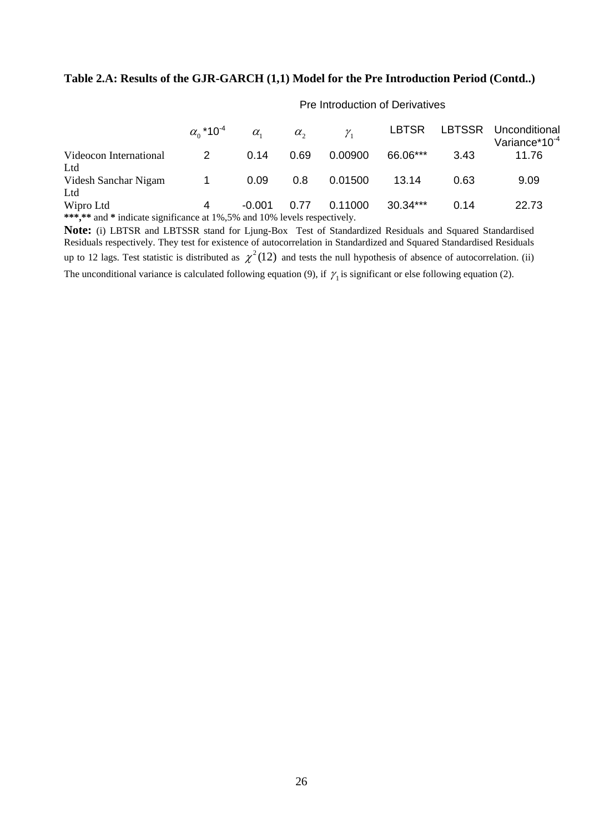#### **Table 2.A: Results of the GJR-GARCH (1,1) Model for the Pre Introduction Period (Contd..)**

|                                                                          | $\alpha_0$ *10 <sup>-4</sup> | $\alpha$ | $\alpha_{\gamma}$ | $\mathcal{V}$ | <b>LBTSR</b> |      | LBTSSR Unconditional<br>Variance*10 <sup>-4</sup> |  |  |
|--------------------------------------------------------------------------|------------------------------|----------|-------------------|---------------|--------------|------|---------------------------------------------------|--|--|
| Videocon International                                                   | 2                            | 0.14     | 0.69              | 0.00900       | 66.06***     | 3.43 | 11.76                                             |  |  |
| Ltd                                                                      |                              |          |                   |               |              |      |                                                   |  |  |
| Videsh Sanchar Nigam                                                     | $\overline{1}$               | 0.09     | 0.8               | 0.01500       | 13.14        | 0.63 | 9.09                                              |  |  |
| Ltd                                                                      |                              |          |                   |               |              |      |                                                   |  |  |
| Wipro Ltd                                                                | 4                            | -0.001   | 0.77              | 0.11000       | $30.34***$   | 0.14 | 22.73                                             |  |  |
| ***,** and * indicate significance at 1%,5% and 10% levels respectively. |                              |          |                   |               |              |      |                                                   |  |  |

### Pre Introduction of Derivatives

**Note:** (i) LBTSR and LBTSSR stand for Ljung-Box Test of Standardized Residuals and Squared Standardised Residuals respectively. They test for existence of autocorrelation in Standardized and Squared Standardised Residuals up to 12 lags. Test statistic is distributed as  $\chi^2(12)$  and tests the null hypothesis of absence of autocorrelation. (ii) The unconditional variance is calculated following equation (9), if  $\gamma_1$  is significant or else following equation (2).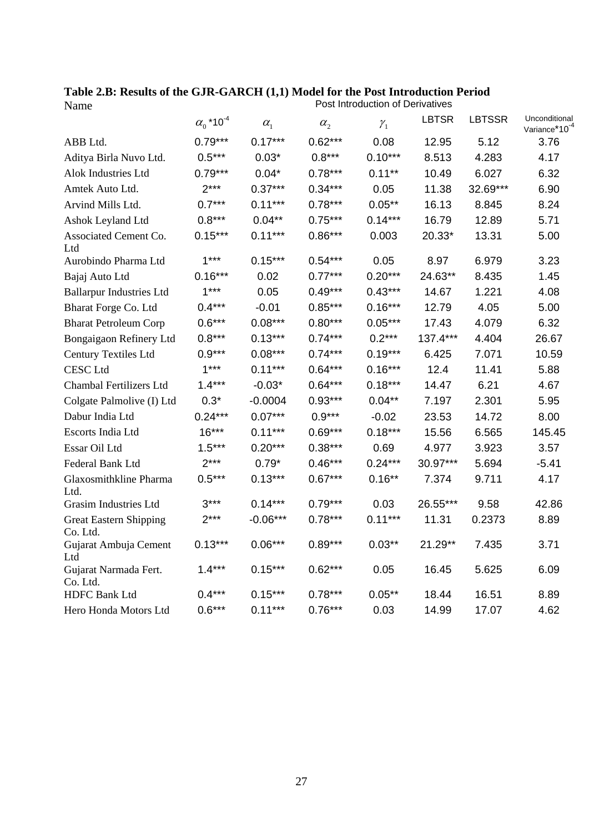|                                           | $\alpha_0$ *10 <sup>-4</sup> | $\alpha_{1}$ | $\alpha_{2}$ | $\gamma_{1}$ | LBTSR      | <b>LBTSSR</b> | Unconditional<br>Variance*10 <sup>-4</sup> |
|-------------------------------------------|------------------------------|--------------|--------------|--------------|------------|---------------|--------------------------------------------|
| ABB Ltd.                                  | $0.79***$                    | $0.17***$    | $0.62***$    | 0.08         | 12.95      | 5.12          | 3.76                                       |
| Aditya Birla Nuvo Ltd.                    | $0.5***$                     | $0.03*$      | $0.8***$     | $0.10***$    | 8.513      | 4.283         | 4.17                                       |
| Alok Industries Ltd                       | $0.79***$                    | $0.04*$      | $0.78***$    | $0.11***$    | 10.49      | 6.027         | 6.32                                       |
| Amtek Auto Ltd.                           | $2***$                       | $0.37***$    | $0.34***$    | 0.05         | 11.38      | 32.69***      | 6.90                                       |
| Arvind Mills Ltd.                         | $0.7***$                     | $0.11***$    | $0.78***$    | $0.05***$    | 16.13      | 8.845         | 8.24                                       |
| Ashok Leyland Ltd                         | $0.8***$                     | $0.04***$    | $0.75***$    | $0.14***$    | 16.79      | 12.89         | 5.71                                       |
| Associated Cement Co.<br>Ltd              | $0.15***$                    | $0.11***$    | $0.86***$    | 0.003        | 20.33*     | 13.31         | 5.00                                       |
| Aurobindo Pharma Ltd                      | $1***$                       | $0.15***$    | $0.54***$    | 0.05         | 8.97       | 6.979         | 3.23                                       |
| Bajaj Auto Ltd                            | $0.16***$                    | 0.02         | $0.77***$    | $0.20***$    | 24.63**    | 8.435         | 1.45                                       |
| <b>Ballarpur Industries Ltd</b>           | $1***$                       | 0.05         | $0.49***$    | $0.43***$    | 14.67      | 1.221         | 4.08                                       |
| Bharat Forge Co. Ltd                      | $0.4***$                     | $-0.01$      | $0.85***$    | $0.16***$    | 12.79      | 4.05          | 5.00                                       |
| <b>Bharat Petroleum Corp</b>              | $0.6***$                     | $0.08***$    | $0.80***$    | $0.05***$    | 17.43      | 4.079         | 6.32                                       |
| Bongaigaon Refinery Ltd                   | $0.8***$                     | $0.13***$    | $0.74***$    | $0.2***$     | $137.4***$ | 4.404         | 26.67                                      |
| <b>Century Textiles Ltd</b>               | $0.9***$                     | $0.08***$    | $0.74***$    | $0.19***$    | 6.425      | 7.071         | 10.59                                      |
| <b>CESC Ltd</b>                           | $1***$                       | $0.11***$    | $0.64***$    | $0.16***$    | 12.4       | 11.41         | 5.88                                       |
| <b>Chambal Fertilizers Ltd</b>            | $1.4***$                     | $-0.03*$     | $0.64***$    | $0.18***$    | 14.47      | 6.21          | 4.67                                       |
| Colgate Palmolive (I) Ltd                 | $0.3*$                       | $-0.0004$    | $0.93***$    | $0.04***$    | 7.197      | 2.301         | 5.95                                       |
| Dabur India Ltd                           | $0.24***$                    | $0.07***$    | $0.9***$     | $-0.02$      | 23.53      | 14.72         | 8.00                                       |
| Escorts India Ltd                         | $16***$                      | $0.11***$    | $0.69***$    | $0.18***$    | 15.56      | 6.565         | 145.45                                     |
| Essar Oil Ltd                             | $1.5***$                     | $0.20***$    | $0.38***$    | 0.69         | 4.977      | 3.923         | 3.57                                       |
| Federal Bank Ltd                          | $2***$                       | $0.79*$      | $0.46***$    | $0.24***$    | 30.97***   | 5.694         | $-5.41$                                    |
| Glaxosmithkline Pharma<br>Ltd.            | $0.5***$                     | $0.13***$    | $0.67***$    | $0.16***$    | 7.374      | 9.711         | 4.17                                       |
| <b>Grasim Industries Ltd</b>              | $3***$                       | $0.14***$    | $0.79***$    | 0.03         | 26.55***   | 9.58          | 42.86                                      |
| <b>Great Eastern Shipping</b><br>Co. Ltd. | $2***$                       | $-0.06***$   | $0.78***$    | $0.11***$    | 11.31      | 0.2373        | 8.89                                       |
| Gujarat Ambuja Cement<br>Ltd              | $0.13***$                    | $0.06***$    | $0.89***$    | $0.03***$    | 21.29**    | 7.435         | 3.71                                       |
| Gujarat Narmada Fert.<br>Co. Ltd.         | $1.4***$                     | $0.15***$    | $0.62***$    | 0.05         | 16.45      | 5.625         | 6.09                                       |
| <b>HDFC Bank Ltd</b>                      | $0.4***$                     | $0.15***$    | $0.78***$    | $0.05**$     | 18.44      | 16.51         | 8.89                                       |
| Hero Honda Motors Ltd                     | $0.6***$                     | $0.11***$    | $0.76***$    | 0.03         | 14.99      | 17.07         | 4.62                                       |

**Table 2.B: Results of the GJR-GARCH (1,1) Model for the Post Introduction Period** Name **Name Post Introduction of Derivatives**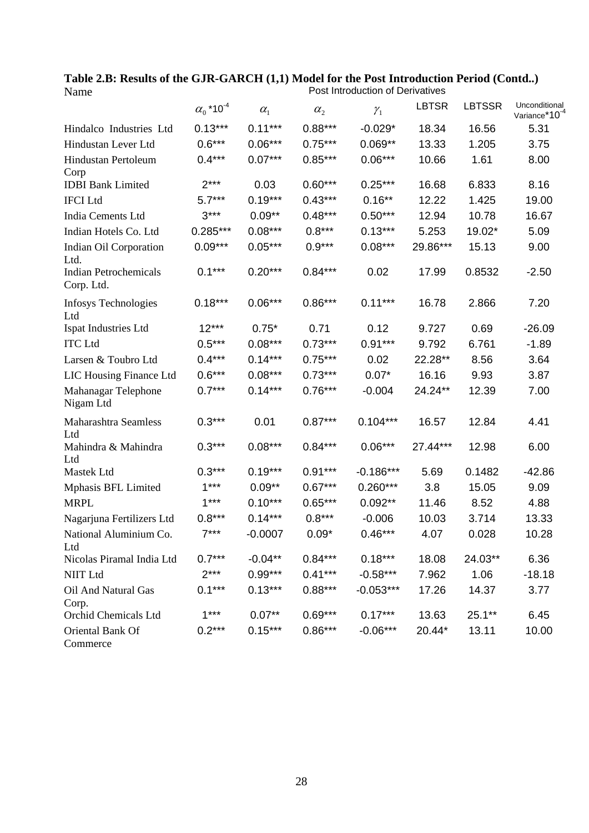|                                            | $\alpha_0$ *10 <sup>-4</sup> | $\alpha_{1}$ | $\alpha_{2}$ | $\mathcal{Y}_1$ | <b>LBTSR</b> | <b>LBTSSR</b> | Unconditional<br>Variance*10 <sup>-4</sup> |
|--------------------------------------------|------------------------------|--------------|--------------|-----------------|--------------|---------------|--------------------------------------------|
| Hindalco Industries Ltd                    | $0.13***$                    | $0.11***$    | $0.88***$    | $-0.029*$       | 18.34        | 16.56         | 5.31                                       |
| Hindustan Lever Ltd                        | $0.6***$                     | $0.06***$    | $0.75***$    | $0.069**$       | 13.33        | 1.205         | 3.75                                       |
| <b>Hindustan Pertoleum</b><br>Corp         | $0.4***$                     | $0.07***$    | $0.85***$    | $0.06***$       | 10.66        | 1.61          | 8.00                                       |
| <b>IDBI</b> Bank Limited                   | $2***$                       | 0.03         | $0.60***$    | $0.25***$       | 16.68        | 6.833         | 8.16                                       |
| <b>IFCI</b> Ltd                            | $5.7***$                     | $0.19***$    | $0.43***$    | $0.16**$        | 12.22        | 1.425         | 19.00                                      |
| India Cements Ltd                          | $3***$                       | $0.09**$     | $0.48***$    | $0.50***$       | 12.94        | 10.78         | 16.67                                      |
| Indian Hotels Co. Ltd                      | 0.285***                     | $0.08***$    | $0.8***$     | $0.13***$       | 5.253        | 19.02*        | 5.09                                       |
| Indian Oil Corporation<br>Ltd.             | $0.09***$                    | $0.05***$    | $0.9***$     | $0.08***$       | 29.86***     | 15.13         | 9.00                                       |
| <b>Indian Petrochemicals</b><br>Corp. Ltd. | $0.1***$                     | $0.20***$    | $0.84***$    | 0.02            | 17.99        | 0.8532        | $-2.50$                                    |
| <b>Infosys Technologies</b><br>Ltd         | $0.18***$                    | $0.06***$    | $0.86***$    | $0.11***$       | 16.78        | 2.866         | 7.20                                       |
| Ispat Industries Ltd                       | $12***$                      | $0.75*$      | 0.71         | 0.12            | 9.727        | 0.69          | $-26.09$                                   |
| <b>ITC</b> Ltd                             | $0.5***$                     | $0.08***$    | $0.73***$    | $0.91***$       | 9.792        | 6.761         | $-1.89$                                    |
| Larsen & Toubro Ltd                        | $0.4***$                     | $0.14***$    | $0.75***$    | 0.02            | 22.28**      | 8.56          | 3.64                                       |
| LIC Housing Finance Ltd                    | $0.6***$                     | $0.08***$    | $0.73***$    | $0.07*$         | 16.16        | 9.93          | 3.87                                       |
| Mahanagar Telephone<br>Nigam Ltd           | $0.7***$                     | $0.14***$    | $0.76***$    | $-0.004$        | 24.24**      | 12.39         | 7.00                                       |
| Maharashtra Seamless<br>Ltd                | $0.3***$                     | 0.01         | $0.87***$    | $0.104***$      | 16.57        | 12.84         | 4.41                                       |
| Mahindra & Mahindra<br>Ltd                 | $0.3***$                     | $0.08***$    | $0.84***$    | $0.06***$       | 27.44***     | 12.98         | 6.00                                       |
| Mastek Ltd                                 | $0.3***$                     | $0.19***$    | $0.91***$    | $-0.186***$     | 5.69         | 0.1482        | $-42.86$                                   |
| Mphasis BFL Limited                        | $1***$                       | $0.09**$     | $0.67***$    | $0.260***$      | 3.8          | 15.05         | 9.09                                       |
| <b>MRPL</b>                                | $1***$                       | $0.10***$    | $0.65***$    | $0.092**$       | 11.46        | 8.52          | 4.88                                       |
| Nagarjuna Fertilizers Ltd                  | $0.8***$                     | $0.14***$    | $0.8***$     | $-0.006$        | 10.03        | 3.714         | 13.33                                      |
| National Aluminium Co.<br>Ltd              | $7***$                       | $-0.0007$    | $0.09*$      | $0.46***$       | 4.07         | 0.028         | 10.28                                      |
| Nicolas Piramal India Ltd                  | $0.7***$                     | $-0.04**$    | $0.84***$    | $0.18***$       | 18.08        | 24.03**       | 6.36                                       |
| <b>NIIT Ltd</b>                            | $2***$                       | $0.99***$    | $0.41***$    | $-0.58***$      | 7.962        | 1.06          | $-18.18$                                   |
| Oil And Natural Gas<br>Corp.               | $0.1***$                     | $0.13***$    | $0.88***$    | $-0.053***$     | 17.26        | 14.37         | 3.77                                       |
| Orchid Chemicals Ltd                       | $1***$                       | $0.07**$     | $0.69***$    | $0.17***$       | 13.63        | $25.1***$     | 6.45                                       |
| Oriental Bank Of<br>Commerce               | $0.2***$                     | $0.15***$    | $0.86***$    | $-0.06***$      | 20.44*       | 13.11         | 10.00                                      |

**Table 2.B: Results of the GJR-GARCH (1,1) Model for the Post Introduction Period (Contd..)** Name **Name Post Introduction of Derivatives**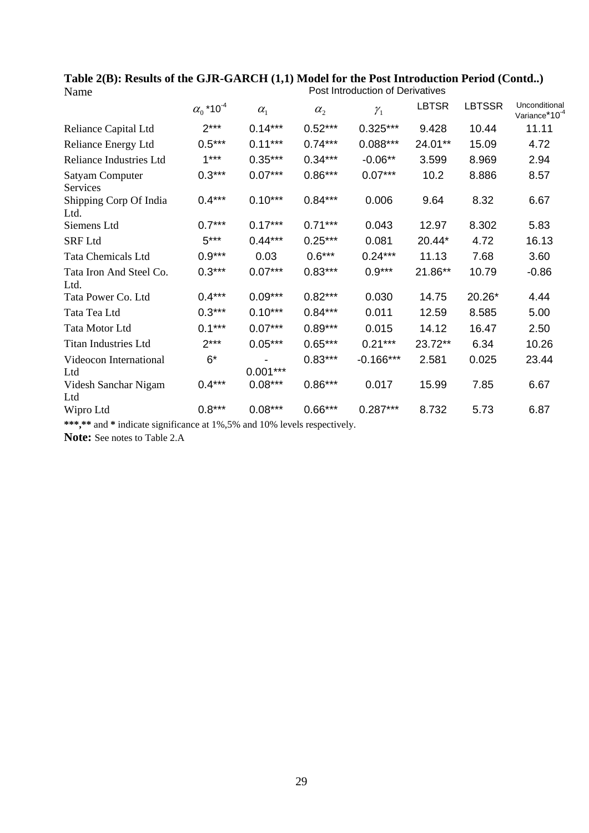|                                    | $\alpha_0$ *10 <sup>-4</sup> | $\alpha_{1}$ | $\alpha_{2}$ | $\gamma_1$  | <b>LBTSR</b> | <b>LBTSSR</b> | Unconditional<br>Variance*10 <sup>-4</sup> |
|------------------------------------|------------------------------|--------------|--------------|-------------|--------------|---------------|--------------------------------------------|
| Reliance Capital Ltd               | $2***$                       | $0.14***$    | $0.52***$    | $0.325***$  | 9.428        | 10.44         | 11.11                                      |
| Reliance Energy Ltd                | $0.5***$                     | $0.11***$    | $0.74***$    | $0.088***$  | 24.01**      | 15.09         | 4.72                                       |
| <b>Reliance Industries Ltd</b>     | $1***$                       | $0.35***$    | $0.34***$    | $-0.06**$   | 3.599        | 8.969         | 2.94                                       |
| <b>Satyam Computer</b><br>Services | $0.3***$                     | $0.07***$    | $0.86***$    | $0.07***$   | 10.2         | 8.886         | 8.57                                       |
| Shipping Corp Of India<br>Ltd.     | $0.4***$                     | $0.10***$    | $0.84***$    | 0.006       | 9.64         | 8.32          | 6.67                                       |
| Siemens Ltd                        | $0.7***$                     | $0.17***$    | $0.71***$    | 0.043       | 12.97        | 8.302         | 5.83                                       |
| <b>SRF</b> Ltd                     | $5***$                       | $0.44***$    | $0.25***$    | 0.081       | 20.44*       | 4.72          | 16.13                                      |
| <b>Tata Chemicals Ltd</b>          | $0.9***$                     | 0.03         | $0.6***$     | $0.24***$   | 11.13        | 7.68          | 3.60                                       |
| Tata Iron And Steel Co.<br>Ltd.    | $0.3***$                     | $0.07***$    | $0.83***$    | $0.9***$    | 21.86**      | 10.79         | $-0.86$                                    |
| Tata Power Co. Ltd                 | $0.4***$                     | $0.09***$    | $0.82***$    | 0.030       | 14.75        | 20.26*        | 4.44                                       |
| Tata Tea Ltd                       | $0.3***$                     | $0.10***$    | $0.84***$    | 0.011       | 12.59        | 8.585         | 5.00                                       |
| Tata Motor Ltd                     | $0.1***$                     | $0.07***$    | $0.89***$    | 0.015       | 14.12        | 16.47         | 2.50                                       |
| <b>Titan Industries Ltd</b>        | $2***$                       | $0.05***$    | $0.65***$    | $0.21***$   | 23.72**      | 6.34          | 10.26                                      |
| Videocon International<br>Ltd      | $6*$                         | $0.001***$   | $0.83***$    | $-0.166***$ | 2.581        | 0.025         | 23.44                                      |
| Videsh Sanchar Nigam<br>Ltd        | $0.4***$                     | $0.08***$    | $0.86***$    | 0.017       | 15.99        | 7.85          | 6.67                                       |
| Wipro Ltd                          | $0.8***$                     | $0.08***$    | $0.66***$    | $0.287***$  | 8.732        | 5.73          | 6.87                                       |

**Table 2(B): Results of the GJR-GARCH (1,1) Model for the Post Introduction Period (Contd..)** Name **Name Post Introduction of Derivatives** 

**\*\*\*,\*\*** and **\*** indicate significance at 1%,5% and 10% levels respectively.

**Note:** See notes to Table 2.A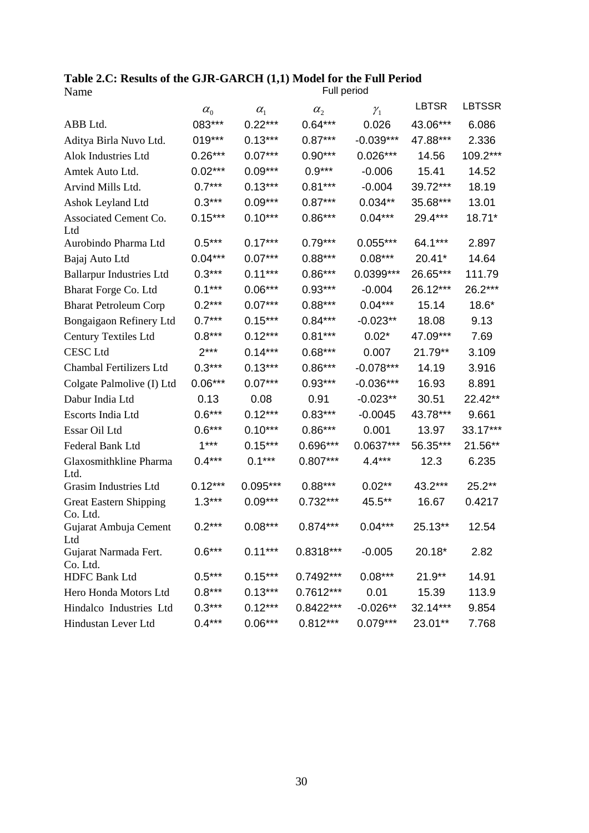**Table 2.C: Results of the GJR-GARCH (1,1) Model for the Full Period**  Name **Name Full** period

|                                           | $\alpha_{\scriptscriptstyle 0}^{}$ | $\alpha_{1}$ | $\alpha_{2}$ | $\mathcal{Y}_1$ | <b>LBTSR</b> | <b>LBTSSR</b> |
|-------------------------------------------|------------------------------------|--------------|--------------|-----------------|--------------|---------------|
| ABB Ltd.                                  | 083***                             | $0.22***$    | $0.64***$    | 0.026           | 43.06***     | 6.086         |
| Aditya Birla Nuvo Ltd.                    | 019***                             | $0.13***$    | $0.87***$    | $-0.039***$     | 47.88***     | 2.336         |
| <b>Alok Industries Ltd</b>                | $0.26***$                          | $0.07***$    | $0.90***$    | $0.026***$      | 14.56        | 109.2***      |
| Amtek Auto Ltd.                           | $0.02***$                          | $0.09***$    | $0.9***$     | $-0.006$        | 15.41        | 14.52         |
| Arvind Mills Ltd.                         | $0.7***$                           | $0.13***$    | $0.81***$    | $-0.004$        | 39.72***     | 18.19         |
| Ashok Leyland Ltd                         | $0.3***$                           | $0.09***$    | $0.87***$    | $0.034**$       | 35.68***     | 13.01         |
| Associated Cement Co.<br>Ltd              | $0.15***$                          | $0.10***$    | $0.86***$    | $0.04***$       | 29.4***      | 18.71*        |
| Aurobindo Pharma Ltd                      | $0.5***$                           | $0.17***$    | $0.79***$    | $0.055***$      | 64.1***      | 2.897         |
| Bajaj Auto Ltd                            | $0.04***$                          | $0.07***$    | $0.88***$    | $0.08***$       | 20.41*       | 14.64         |
| <b>Ballarpur Industries Ltd</b>           | $0.3***$                           | $0.11***$    | $0.86***$    | 0.0399***       | 26.65***     | 111.79        |
| Bharat Forge Co. Ltd                      | $0.1***$                           | $0.06***$    | $0.93***$    | $-0.004$        | 26.12***     | 26.2***       |
| <b>Bharat Petroleum Corp</b>              | $0.2***$                           | $0.07***$    | $0.88***$    | $0.04***$       | 15.14        | $18.6*$       |
| Bongaigaon Refinery Ltd                   | $0.7***$                           | $0.15***$    | $0.84***$    | $-0.023**$      | 18.08        | 9.13          |
| Century Textiles Ltd                      | $0.8***$                           | $0.12***$    | $0.81***$    | $0.02*$         | 47.09***     | 7.69          |
| <b>CESC</b> Ltd                           | $2***$                             | $0.14***$    | $0.68***$    | 0.007           | 21.79**      | 3.109         |
| Chambal Fertilizers Ltd                   | $0.3***$                           | $0.13***$    | $0.86***$    | $-0.078***$     | 14.19        | 3.916         |
| Colgate Palmolive (I) Ltd                 | $0.06***$                          | $0.07***$    | $0.93***$    | $-0.036***$     | 16.93        | 8.891         |
| Dabur India Ltd                           | 0.13                               | 0.08         | 0.91         | $-0.023**$      | 30.51        | 22.42**       |
| Escorts India Ltd                         | $0.6***$                           | $0.12***$    | $0.83***$    | $-0.0045$       | 43.78***     | 9.661         |
| Essar Oil Ltd                             | $0.6***$                           | $0.10***$    | $0.86***$    | 0.001           | 13.97        | 33.17***      |
| Federal Bank Ltd                          | $1***$                             | $0.15***$    | $0.696***$   | 0.0637***       | 56.35***     | 21.56**       |
| Glaxosmithkline Pharma<br>Ltd.            | $0.4***$                           | $0.1***$     | $0.807***$   | $4.4***$        | 12.3         | 6.235         |
| Grasim Industries Ltd                     | $0.12***$                          | $0.095***$   | $0.88***$    | $0.02**$        | $43.2***$    | $25.2**$      |
| <b>Great Eastern Shipping</b><br>Co. Ltd. | $1.3***$                           | $0.09***$    | $0.732***$   | 45.5**          | 16.67        | 0.4217        |
| Gujarat Ambuja Cement<br>Ltd              | $0.2***$                           | $0.08***$    | $0.874***$   | $0.04***$       | 25.13**      | 12.54         |
| Gujarat Narmada Fert.<br>Co. Ltd.         | $0.6***$                           | $0.11***$    | 0.8318***    | $-0.005$        | 20.18*       | 2.82          |
| <b>HDFC Bank Ltd</b>                      | $0.5***$                           | $0.15***$    | 0.7492***    | $0.08***$       | $21.9**$     | 14.91         |
| Hero Honda Motors Ltd                     | $0.8***$                           | $0.13***$    | $0.7612***$  | 0.01            | 15.39        | 113.9         |
| Hindalco Industries Ltd                   | $0.3***$                           | $0.12***$    | $0.8422***$  | $-0.026**$      | 32.14***     | 9.854         |
| Hindustan Lever Ltd                       | $0.4***$                           | $0.06***$    | $0.812***$   | $0.079***$      | 23.01**      | 7.768         |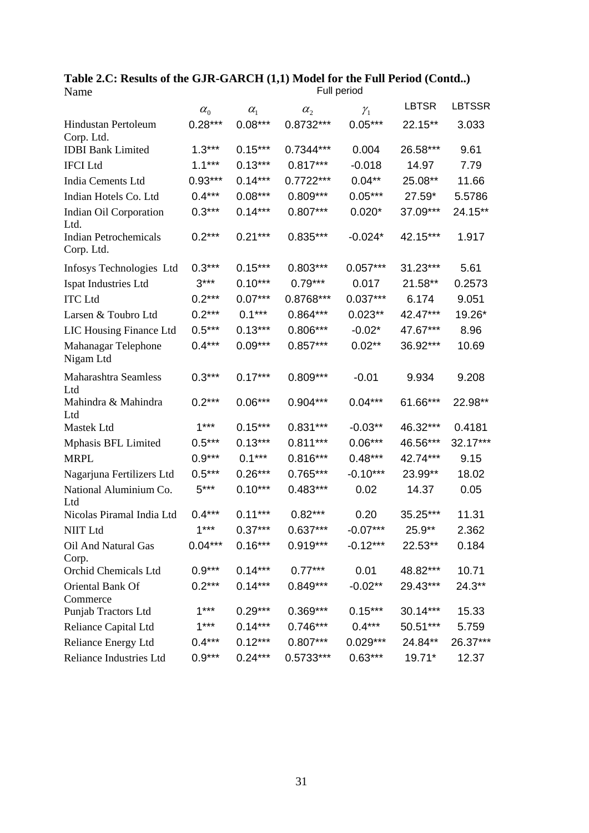|                                            | $\alpha_{0}$ | $\alpha_{1}$ | $\alpha_{2}$ | $\gamma_{1}$      | <b>LBTSR</b>       | <b>LBTSSR</b> |
|--------------------------------------------|--------------|--------------|--------------|-------------------|--------------------|---------------|
| <b>Hindustan Pertoleum</b><br>Corp. Ltd.   | $0.28***$    | $0.08***$    | $0.8732***$  | $0.05***$         | 22.15**            | 3.033         |
| <b>IDBI</b> Bank Limited                   | $1.3***$     | $0.15***$    | 0.7344***    | 0.004             | 26.58***           | 9.61          |
| <b>IFCI</b> Ltd                            | $1.1***$     | $0.13***$    | $0.817***$   | $-0.018$          | 14.97              | 7.79          |
| India Cements Ltd                          | $0.93***$    | $0.14***$    | $0.7722***$  | $0.04**$          | 25.08**            | 11.66         |
| Indian Hotels Co. Ltd                      | $0.4***$     | $0.08***$    | $0.809***$   | $0.05***$         | 27.59*             | 5.5786        |
| Indian Oil Corporation<br>Ltd.             | $0.3***$     | $0.14***$    | $0.807***$   | $0.020*$          | 37.09***           | 24.15**       |
| <b>Indian Petrochemicals</b><br>Corp. Ltd. | $0.2***$     | $0.21***$    | $0.835***$   | $-0.024*$         | 42.15***           | 1.917         |
| Infosys Technologies Ltd                   | $0.3***$     | $0.15***$    | $0.803***$   | $0.057***$        | 31.23***           | 5.61          |
| Ispat Industries Ltd                       | $3***$       | $0.10***$    | $0.79***$    | 0.017             | 21.58**            | 0.2573        |
| <b>ITC</b> Ltd                             | $0.2***$     | $0.07***$    | 0.8768***    | $0.037***$        | 6.174              | 9.051         |
| Larsen & Toubro Ltd                        | $0.2***$     | $0.1***$     | $0.864***$   | $0.023**$         | 42.47***           | 19.26*        |
| LIC Housing Finance Ltd                    | $0.5***$     | $0.13***$    | $0.806***$   | $-0.02*$          | 47.67***           | 8.96          |
| Mahanagar Telephone<br>Nigam Ltd           | $0.4***$     | $0.09***$    | $0.857***$   | $0.02**$          | 36.92***           | 10.69         |
| <b>Maharashtra Seamless</b><br>Ltd         | $0.3***$     | $0.17***$    | $0.809***$   | $-0.01$           | 9.934              | 9.208         |
| Mahindra & Mahindra<br>Ltd                 | $0.2***$     | $0.06***$    | $0.904***$   | $0.04***$         | 61.66***           | 22.98**       |
| Mastek Ltd                                 | $1***$       | $0.15***$    | $0.831***$   | $-0.03**$         | 46.32***           | 0.4181        |
| Mphasis BFL Limited                        | $0.5***$     | $0.13***$    | $0.811***$   | $0.06***$         | 46.56***           | $32.17***$    |
| <b>MRPL</b>                                | $0.9***$     | $0.1***$     | $0.816***$   | $0.48***$         | 42.74***           | 9.15          |
| Nagarjuna Fertilizers Ltd                  | $0.5***$     | $0.26***$    | 0.765***     | $-0.10***$        | 23.99**            | 18.02         |
| National Aluminium Co.<br>Ltd              | $5***$       | $0.10***$    | $0.483***$   | 0.02              | 14.37              | 0.05          |
| Nicolas Piramal India Ltd                  | $0.4***$     | $0.11***$    | $0.82***$    | 0.20              | 35.25***           | 11.31         |
| <b>NIIT Ltd</b>                            | $1***$       | $0.37***$    | $0.637***$   | $-0.07***$        | 25.9**             | 2.362         |
| Oil And Natural Gas<br>Corp.               | $0.04***$    | $0.16***$    | $0.919***$   | $-0.12***$        | 22.53**            | 0.184         |
| Orchid Chemicals Ltd                       | $0.9***$     | $0.14***$    | $0.77***$    | 0.01              | 48.82***           | 10.71         |
| Oriental Bank Of<br>Commerce               | $0.2***$     | $0.14***$    | $0.849***$   | $-0.02**$         | 29.43***           | $24.3***$     |
| Punjab Tractors Ltd                        | $1***$       | $0.29***$    | $0.369***$   | $0.15***$         | $30.14***$         | 15.33         |
| Reliance Capital Ltd                       | $1***$       | $0.14***$    | $0.746***$   | $0.4***$ 50.51*** |                    | 5.759         |
| Reliance Energy Ltd                        | $0.4***$     | $0.12***$    | $0.807***$   |                   | $0.029***$ 24.84** | 26.37***      |
| Reliance Industries Ltd                    | $0.9***$     | $0.24***$    | $0.5733***$  | $0.63***$         | $19.71*$           | 12.37         |

**Table 2.C: Results of the GJR-GARCH (1,1) Model for the Full Period (Contd..)**  Name Full period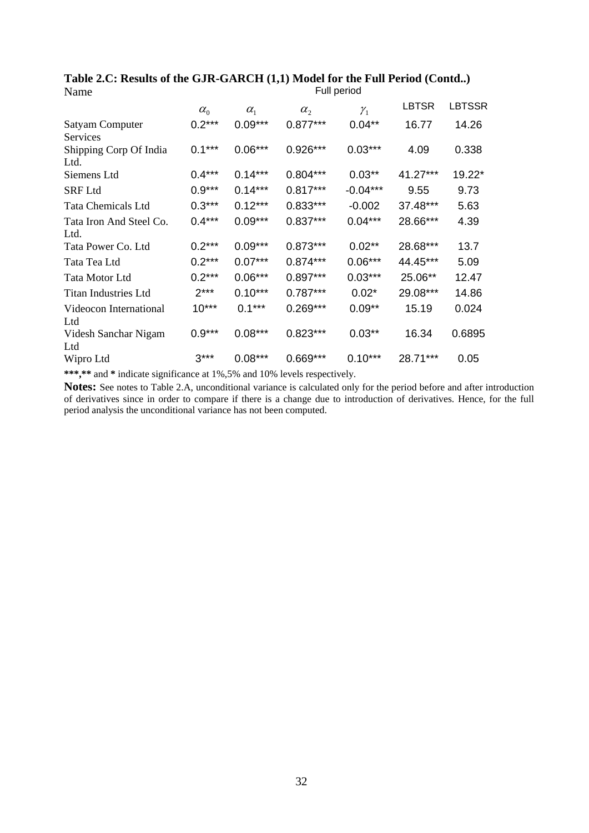|                                | $\alpha_{0}$ | $\alpha_{1}$ | $\alpha_{2}$ | $\mathcal{Y}_1$ | <b>LBTSR</b> | <b>LBTSSR</b> |
|--------------------------------|--------------|--------------|--------------|-----------------|--------------|---------------|
| Satyam Computer                | $0.2***$     | $0.09***$    | $0.877***$   | $0.04**$        | 16.77        | 14.26         |
| Services                       |              |              |              |                 |              |               |
| Shipping Corp Of India<br>Ltd. | $0.1***$     | $0.06***$    | 0.926***     | $0.03***$       | 4.09         | 0.338         |
| Siemens Ltd                    | $0.4***$     | $0.14***$    | $0.804***$   | $0.03**$        | 41.27***     | 19.22*        |
| <b>SRF Ltd</b>                 | $0.9***$     | $0.14***$    | $0.817***$   | $-0.04***$      | 9.55         | 9.73          |
| <b>Tata Chemicals Ltd</b>      | $0.3***$     | $0.12***$    | $0.833***$   | $-0.002$        | 37.48***     | 5.63          |
| Tata Iron And Steel Co.        | $0.4***$     | $0.09***$    | $0.837***$   | $0.04***$       | 28.66***     | 4.39          |
| Ltd.                           |              |              |              |                 |              |               |
| Tata Power Co. Ltd             | $0.2***$     | $0.09***$    | $0.873***$   | $0.02**$        | 28.68***     | 13.7          |
| Tata Tea Ltd                   | $0.2***$     | $0.07***$    | $0.874***$   | $0.06***$       | 44.45***     | 5.09          |
| Tata Motor Ltd                 | $0.2***$     | $0.06***$    | $0.897***$   | $0.03***$       | 25.06**      | 12.47         |
| Titan Industries Ltd           | $2***$       | $0.10***$    | $0.787***$   | $0.02*$         | 29.08***     | 14.86         |
| Videocon International<br>Ltd  | $10***$      | $0.1***$     | $0.269***$   | $0.09**$        | 15.19        | 0.024         |
| Videsh Sanchar Nigam<br>Ltd    | $0.9***$     | $0.08***$    | $0.823***$   | $0.03**$        | 16.34        | 0.6895        |
| Wipro Ltd                      | $3***$       | $0.08***$    | $0.669***$   | $0.10***$       | 28.71***     | 0.05          |

**Table 2.C: Results of the GJR-GARCH (1,1) Model for the Full Period (Contd..)**  Name Full period

**\*\*\*,\*\*** and **\*** indicate significance at 1%,5% and 10% levels respectively.

**Notes:** See notes to Table 2.A, unconditional variance is calculated only for the period before and after introduction of derivatives since in order to compare if there is a change due to introduction of derivatives. Hence, for the full period analysis the unconditional variance has not been computed.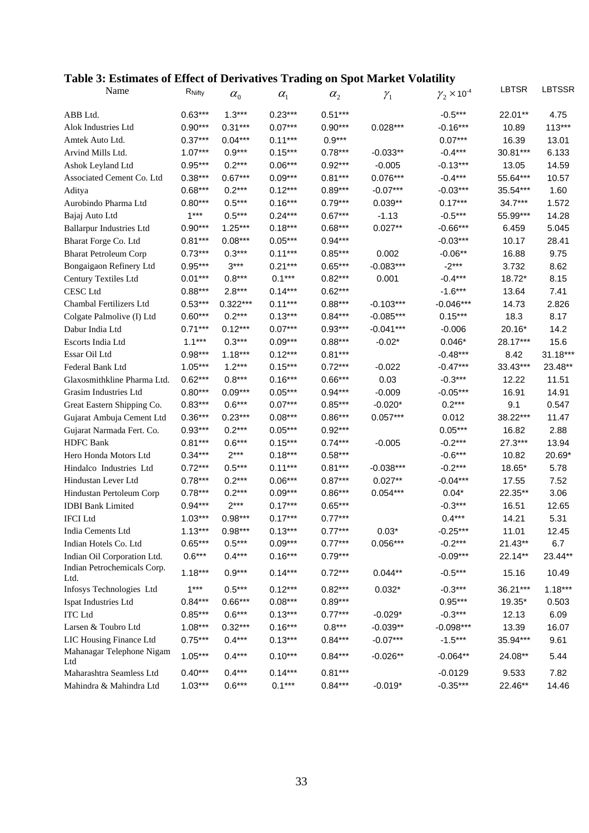## **Table 3: Estimates of Effect of Derivatives Trading on Spot Market Volatility**

| Name                                | RNifty                 | $\alpha_{0}$       | $\alpha_{1}$           | $\alpha_{2}$ | $\mathcal{Y}_1$ | $\gamma_2 \times$ 10 <sup>-4</sup> | LBTSR    | LBTSSR        |
|-------------------------------------|------------------------|--------------------|------------------------|--------------|-----------------|------------------------------------|----------|---------------|
| ABB Ltd.                            | $0.63***$              | $1.3***$           | $0.23***$              | $0.51***$    |                 | $-0.5***$                          | 22.01**  | 4.75          |
| Alok Industries Ltd                 | $0.90***$              | $0.31***$          | $0.07***$              | $0.90***$    | $0.028***$      | $-0.16***$                         | 10.89    | $113***$      |
| Amtek Auto Ltd.                     | $0.37***$              | $0.04***$          | $0.11***$              | $0.9***$     |                 | $0.07***$                          | 16.39    | 13.01         |
| Arvind Mills Ltd.                   | $1.07***$              | $0.9***$           | $0.15***$              | $0.78***$    | $-0.033**$      | $-0.4***$                          | 30.81*** | 6.133         |
| Ashok Leyland Ltd                   | $0.95***$              | $0.2***$           | $0.06***$              | $0.92***$    | $-0.005$        | $-0.13***$                         | 13.05    | 14.59         |
| Associated Cement Co. Ltd           | $0.38***$              | $0.67***$          | $0.09***$              | $0.81***$    | $0.076***$      | $-0.4***$                          | 55.64*** | 10.57         |
| Aditya                              | $0.68***$              | $0.2***$           | $0.12***$              | $0.89***$    | $-0.07***$      | $-0.03***$                         | 35.54*** | 1.60          |
| Aurobindo Pharma Ltd                | $0.80***$              | $0.5***$           | $0.16***$              | $0.79***$    | $0.039**$       | $0.17***$                          | 34.7***  | 1.572         |
| Bajaj Auto Ltd                      | $1***$                 | $0.5***$           | $0.24***$              | $0.67***$    | $-1.13$         | $-0.5***$                          | 55.99*** | 14.28         |
| <b>Ballarpur Industries Ltd</b>     | $0.90***$              | $1.25***$          | $0.18***$              | $0.68***$    | $0.027**$       | $-0.66***$                         | 6.459    | 5.045         |
| Bharat Forge Co. Ltd                | $0.81***$              | $0.08***$          | $0.05***$              | $0.94***$    |                 | $-0.03***$                         | 10.17    | 28.41         |
| <b>Bharat Petroleum Corp</b>        | $0.73***$              | $0.3***$           | $0.11***$              | $0.85***$    | 0.002           | $-0.06**$                          | 16.88    | 9.75          |
| Bongaigaon Refinery Ltd             | $0.95***$              | $3***$             | $0.21***$              | $0.65***$    | $-0.083***$     | $-2***$                            | 3.732    | 8.62          |
| Century Textiles Ltd                | $0.01***$              | $0.8***$           | $0.1***$               | $0.82***$    | 0.001           | $-0.4***$                          | 18.72*   | 8.15          |
| <b>CESC</b> Ltd                     | $0.88***$              | $2.8***$           | $0.14***$              | $0.62***$    |                 | $-1.6***$                          | 13.64    | 7.41          |
| Chambal Fertilizers Ltd             | $0.53***$              | $0.322***$         | $0.11***$              | $0.88***$    | $-0.103***$     | $-0.046***$                        | 14.73    | 2.826         |
| Colgate Palmolive (I) Ltd           | $0.60***$              | $0.2***$           | $0.13***$              | $0.84***$    | $-0.085***$     | $0.15***$                          | 18.3     | 8.17          |
| Dabur India Ltd                     | $0.71***$              | $0.12***$          | $0.07***$              | $0.93***$    | $-0.041***$     | $-0.006$                           | 20.16*   | 14.2          |
| Escorts India Ltd                   | $1.1***$               | $0.3***$           | $0.09***$              | $0.88***$    | $-0.02*$        | $0.046*$                           | 28.17*** | 15.6          |
| Essar Oil Ltd                       | $0.98***$              | $1.18***$          | $0.12***$              | $0.81***$    |                 | $-0.48***$                         | 8.42     | 31.18***      |
| Federal Bank Ltd                    | $1.05***$              | $1.2***$           | $0.15***$              | $0.72***$    | $-0.022$        | $-0.47***$                         | 33.43*** | 23.48**       |
| Glaxosmithkline Pharma Ltd.         | $0.62***$              | $0.8***$           | $0.16***$              | $0.66***$    | 0.03            | $-0.3***$                          | 12.22    | 11.51         |
| Grasim Industries Ltd               | $0.80***$              | $0.09***$          | $0.05***$              | $0.94***$    | $-0.009$        | $-0.05***$                         | 16.91    | 14.91         |
| Great Eastern Shipping Co.          | $0.83***$              | $0.6***$           | $0.07***$              | $0.85***$    | $-0.020*$       | $0.2***$                           | 9.1      | 0.547         |
| Gujarat Ambuja Cement Ltd           | $0.36***$              | $0.23***$          | $0.08***$              | $0.86***$    | $0.057***$      | 0.012                              | 38.22*** | 11.47         |
| Gujarat Narmada Fert. Co.           | $0.93***$              | $0.2***$           | $0.05***$              | $0.92***$    |                 | $0.05***$                          | 16.82    | 2.88          |
| <b>HDFC</b> Bank                    | $0.81***$              | $0.6***$           | $0.15***$              | $0.74***$    | $-0.005$        | $-0.2***$                          | 27.3***  | 13.94         |
| Hero Honda Motors Ltd               | $0.34***$              | $2***$             | $0.18***$              | $0.58***$    |                 | $-0.6***$                          | 10.82    | 20.69*        |
| Hindalco Industries Ltd             | $0.72***$              | $0.5***$           | $0.11***$              | $0.81***$    | $-0.038***$     | $-0.2***$                          | 18.65*   | 5.78          |
| Hindustan Lever Ltd                 | $0.78***$              | $0.2***$           | $0.06***$              | $0.87***$    | $0.027**$       | $-0.04***$                         | 17.55    | 7.52          |
|                                     |                        |                    |                        | $0.86***$    | $0.054***$      |                                    |          |               |
| Hindustan Pertoleum Corp            | $0.78***$<br>$0.94***$ | $0.2***$<br>$2***$ | $0.09***$<br>$0.17***$ |              |                 | $0.04*$                            | 22.35**  | 3.06<br>12.65 |
| <b>IDBI</b> Bank Limited            |                        |                    |                        | $0.65***$    |                 | $-0.3***$                          | 16.51    |               |
| <b>IFCI</b> Ltd                     | $1.03***$              | $0.98***$          | $0.17***$              | $0.77***$    |                 | $0.4***$                           | 14.21    | 5.31          |
| India Cements Ltd                   | $1.13***$              | $0.98***$          | $0.13***$              | $0.77***$    | $0.03*$         | $-0.25***$                         | 11.01    | 12.45         |
| Indian Hotels Co. Ltd               | $0.65***$              | $0.5***$           | $0.09***$              | $0.77***$    | $0.056***$      | $-0.2***$                          | 21.43**  | 6.7           |
| Indian Oil Corporation Ltd.         | $0.6***$               | $0.4***$           | $0.16***$              | $0.79***$    |                 | $-0.09***$                         | 22.14**  | 23.44**       |
| Indian Petrochemicals Corp.<br>Ltd. | $1.18***$              | $0.9***$           | $0.14***$              | $0.72***$    | $0.044**$       | $-0.5***$                          | 15.16    | 10.49         |
| Infosys Technologies Ltd            | $1***$                 | $0.5***$           | $0.12***$              | $0.82***$    | $0.032*$        | $-0.3***$                          | 36.21*** | $1.18***$     |
| Ispat Industries Ltd                | $0.84***$              | $0.66***$          | $0.08***$              | $0.89***$    |                 | $0.95***$                          | 19.35*   | 0.503         |
| <b>ITC</b> Ltd                      | $0.85***$              | $0.6***$           | $0.13***$              | $0.77***$    | $-0.029*$       | $-0.3***$                          | 12.13    | 6.09          |
| Larsen & Toubro Ltd                 | $1.08***$              | $0.32***$          | $0.16***$              | $0.8***$     | $-0.039**$      | $-0.098***$                        | 13.39    | 16.07         |
| LIC Housing Finance Ltd             | $0.75***$              | $0.4***$           | $0.13***$              | $0.84***$    | $-0.07***$      | $-1.5***$                          | 35.94*** | 9.61          |
| Mahanagar Telephone Nigam<br>Ltd    | $1.05***$              | $0.4***$           | $0.10***$              | $0.84***$    | $-0.026**$      | $-0.064**$                         | 24.08**  | 5.44          |
| Maharashtra Seamless Ltd            | $0.40***$              | $0.4***$           | $0.14***$              | $0.81***$    |                 | $-0.0129$                          | 9.533    | 7.82          |
| Mahindra & Mahindra Ltd             | $1.03***$              | $0.6***$           | $0.1***$               | $0.84***$    | $-0.019*$       | $-0.35***$                         | 22.46**  | 14.46         |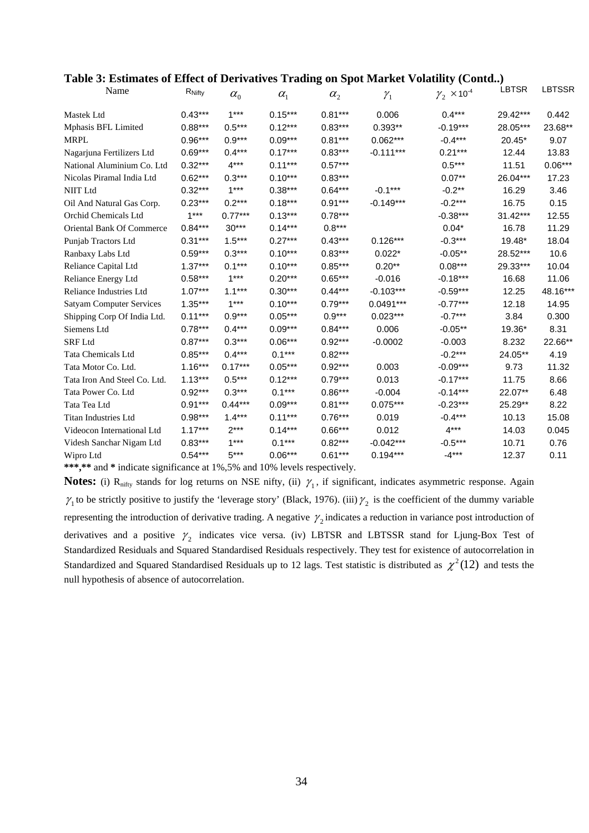| Table 3: Estimates of Effect of Derivatives Trading on Spot Market Volatility (Contd) |  |  |
|---------------------------------------------------------------------------------------|--|--|
|                                                                                       |  |  |

| Name                                             | $R_{Nifty}$ | $\alpha_{0}$                      | $\alpha_{1}$          | $\alpha_{2}$ | $\gamma_1$  | $\gamma_2 \times 10^{-4}$ | <b>LBTSR</b> | <b>LBTSSR</b> |
|--------------------------------------------------|-------------|-----------------------------------|-----------------------|--------------|-------------|---------------------------|--------------|---------------|
| <b>Mastek Ltd</b>                                | $0.43***$   | $1***$                            | $0.15***$             | $0.81***$    | 0.006       | $0.4***$                  | 29.42***     | 0.442         |
| Mphasis BFL Limited                              | $0.88***$   | $0.5***$                          | $0.12***$             | $0.83***$    | $0.393**$   | $-0.19***$                | 28.05***     | 23.68**       |
| <b>MRPL</b>                                      | $0.96***$   | $0.9***$                          | $0.09***$             | $0.81***$    | $0.062***$  | $-0.4***$                 | 20.45*       | 9.07          |
| Nagarjuna Fertilizers Ltd                        | $0.69***$   | $0.4***$                          | $0.17***$             | $0.83***$    | $-0.111***$ | $0.21***$                 | 12.44        | 13.83         |
| National Aluminium Co. Ltd                       | $0.32***$   | $4***$                            | $0.11***$             | $0.57***$    |             | $0.5***$                  | 11.51        | $0.06***$     |
| Nicolas Piramal India Ltd                        | $0.62***$   | $0.3***$                          | $0.10***$             | $0.83***$    |             | $0.07**$                  | 26.04***     | 17.23         |
| <b>NIIT</b> Ltd                                  | $0.32***$   | $1***$                            | $0.38***$             | $0.64***$    | $-0.1***$   | $-0.2**$                  | 16.29        | 3.46          |
| Oil And Natural Gas Corp.                        | $0.23***$   | $0.2***$                          | $0.18***$             | $0.91***$    | $-0.149***$ | $-0.2***$                 | 16.75        | 0.15          |
| Orchid Chemicals Ltd                             | $1***$      | $0.77***$                         | $0.13***$             | $0.78***$    |             | $-0.38***$                | $31.42***$   | 12.55         |
| <b>Oriental Bank Of Commerce</b>                 | $0.84***$   | $30***$                           | $0.14***$             | $0.8***$     |             | $0.04*$                   | 16.78        | 11.29         |
| Punjab Tractors Ltd                              | $0.31***$   | $1.5***$                          | $0.27***$             | $0.43***$    | $0.126***$  | $-0.3***$                 | 19.48*       | 18.04         |
| Ranbaxy Labs Ltd                                 | $0.59***$   | $0.3***$                          | $0.10***$             | $0.83***$    | $0.022*$    | $-0.05**$                 | 28.52***     | 10.6          |
| Reliance Capital Ltd                             | $1.37***$   | $0.1***$                          | $0.10***$             | $0.85***$    | $0.20**$    | $0.08***$                 | 29.33***     | 10.04         |
| <b>Reliance Energy Ltd</b>                       | $0.58***$   | $1***$                            | $0.20***$             | $0.65***$    | $-0.016$    | $-0.18***$                | 16.68        | 11.06         |
| Reliance Industries Ltd                          | $1.07***$   | $1.1***$                          | $0.30***$             | $0.44***$    | $-0.103***$ | $-0.59***$                | 12.25        | 48.16***      |
| <b>Satyam Computer Services</b>                  | $1.35***$   | $1***$                            | $0.10***$             | $0.79***$    | $0.0491***$ | $-0.77***$                | 12.18        | 14.95         |
| Shipping Corp Of India Ltd.                      | $0.11***$   | $0.9***$                          | $0.05***$             | $0.9***$     | $0.023***$  | $-0.7***$                 | 3.84         | 0.300         |
| Siemens Ltd                                      | $0.78***$   | $0.4***$                          | $0.09***$             | $0.84***$    | 0.006       | $-0.05**$                 | 19.36*       | 8.31          |
| <b>SRF</b> Ltd                                   | $0.87***$   | $0.3***$                          | $0.06***$             | $0.92***$    | $-0.0002$   | $-0.003$                  | 8.232        | 22.66**       |
| Tata Chemicals Ltd                               | $0.85***$   | $0.4***$                          | $0.1***$              | $0.82***$    |             | $-0.2***$                 | 24.05**      | 4.19          |
| Tata Motor Co. Ltd.                              | $1.16***$   | $0.17***$                         | $0.05***$             | $0.92***$    | 0.003       | $-0.09***$                | 9.73         | 11.32         |
| Tata Iron And Steel Co. Ltd.                     | $1.13***$   | $0.5***$                          | $0.12***$             | $0.79***$    | 0.013       | $-0.17***$                | 11.75        | 8.66          |
| Tata Power Co. Ltd                               | $0.92***$   | $0.3***$                          | $0.1***$              | $0.86***$    | $-0.004$    | $-0.14***$                | 22.07**      | 6.48          |
| Tata Tea Ltd                                     | $0.91***$   | $0.44***$                         | $0.09***$             | $0.81***$    | $0.075***$  | $-0.23***$                | 25.29**      | 8.22          |
| Titan Industries Ltd                             | $0.98***$   | $1.4***$                          | $0.11***$             | $0.76***$    | 0.019       | $-0.4***$                 | 10.13        | 15.08         |
| Videocon International Ltd                       | $1.17***$   | $2***$                            | $0.14***$             | $0.66***$    | 0.012       | $4***$                    | 14.03        | 0.045         |
| Videsh Sanchar Nigam Ltd                         | $0.83***$   | $1***$                            | $0.1***$              | $0.82***$    | $-0.042***$ | $-0.5***$                 | 10.71        | 0.76          |
| Wipro Ltd<br>is a de format suas substance et su | $0.54***$   | $5***$<br>$\sim$ 10/ $\approx$ 0/ | $0.06***$<br>1.100/11 | $0.61***$    | $0.194***$  | $-4***$                   | 12.37        | 0.11          |

**\*\*\*,\*\*** and **\*** indicate significance at 1%,5% and 10% levels respectively.

**Notes:** (i) R<sub>nifty</sub> stands for log returns on NSE nifty, (ii)  $\gamma_1$ , if significant, indicates asymmetric response. Again  $\gamma_1$  to be strictly positive to justify the 'leverage story' (Black, 1976). (iii)  $\gamma_2$  is the coefficient of the dummy variable representing the introduction of derivative trading. A negative  $\gamma_2$  indicates a reduction in variance post introduction of derivatives and a positive  $\gamma_2$  indicates vice versa. (iv) LBTSR and LBTSSR stand for Ljung-Box Test of Standardized Residuals and Squared Standardised Residuals respectively. They test for existence of autocorrelation in Standardized and Squared Standardised Residuals up to 12 lags. Test statistic is distributed as  $\chi^2(12)$  and tests the null hypothesis of absence of autocorrelation.